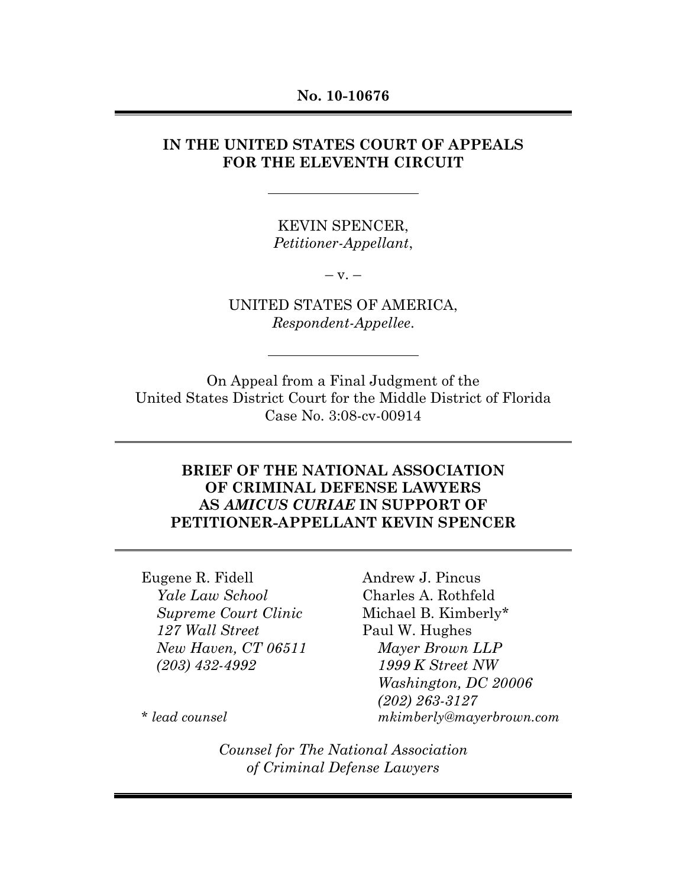#### **No. 10-10676**

## **IN THE UNITED STATES COURT OF APPEALS FOR THE ELEVENTH CIRCUIT**

KEVIN SPENCER, *Petitioner-Appellant*,

 $-V. -$ 

UNITED STATES OF AMERICA, *Respondent-Appellee*.

On Appeal from a Final Judgment of the United States District Court for the Middle District of Florida Case No. 3:08-cv-00914

## **BRIEF OF THE NATIONAL ASSOCIATION OF CRIMINAL DEFENSE LAWYERS AS** *AMICUS CURIAE* **IN SUPPORT OF PETITIONER-APPELLANT KEVIN SPENCER**

Eugene R. Fidell *Yale Law School Supreme Court Clinic 127 Wall Street New Haven, CT 06511 (203) 432-4992*

Andrew J. Pincus Charles A. Rothfeld Michael B. Kimberly\* Paul W. Hughes *Mayer Brown LLP 1999 K Street NW Washington, DC 20006 (202) 263-3127 mkimberly@mayerbrown.com*

*\* lead counsel*

*Counsel for The National Association of Criminal Defense Lawyers*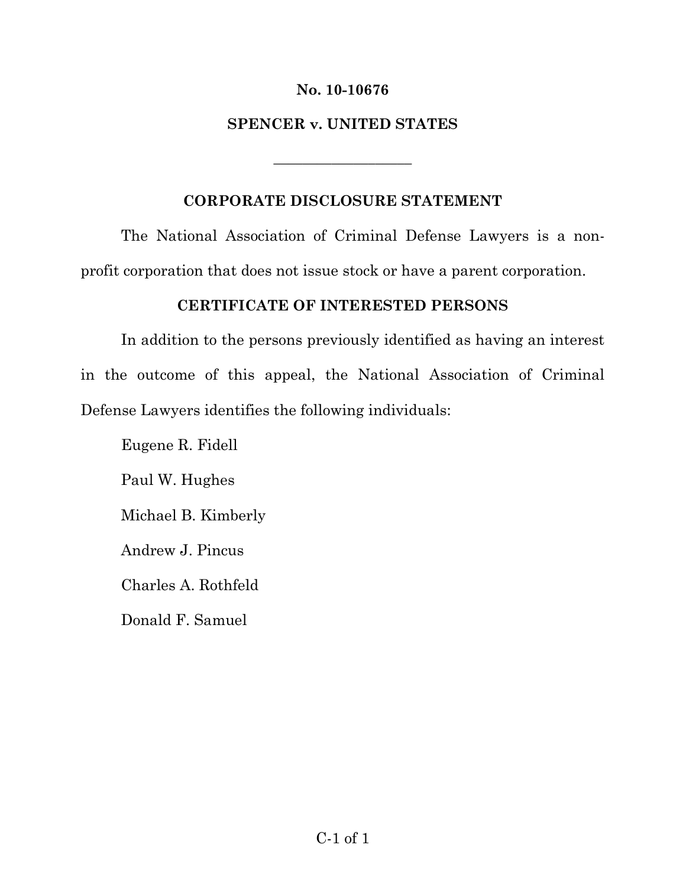## **No. 10-10676**

## **SPENCER v. UNITED STATES**

\_\_\_\_\_\_\_\_\_\_\_\_\_\_\_\_\_\_\_

## **CORPORATE DISCLOSURE STATEMENT**

The National Association of Criminal Defense Lawyers is a nonprofit corporation that does not issue stock or have a parent corporation.

## **CERTIFICATE OF INTERESTED PERSONS**

In addition to the persons previously identified as having an interest in the outcome of this appeal, the National Association of Criminal Defense Lawyers identifies the following individuals:

Eugene R. Fidell

Paul W. Hughes

Michael B. Kimberly

Andrew J. Pincus

Charles A. Rothfeld

Donald F. Samuel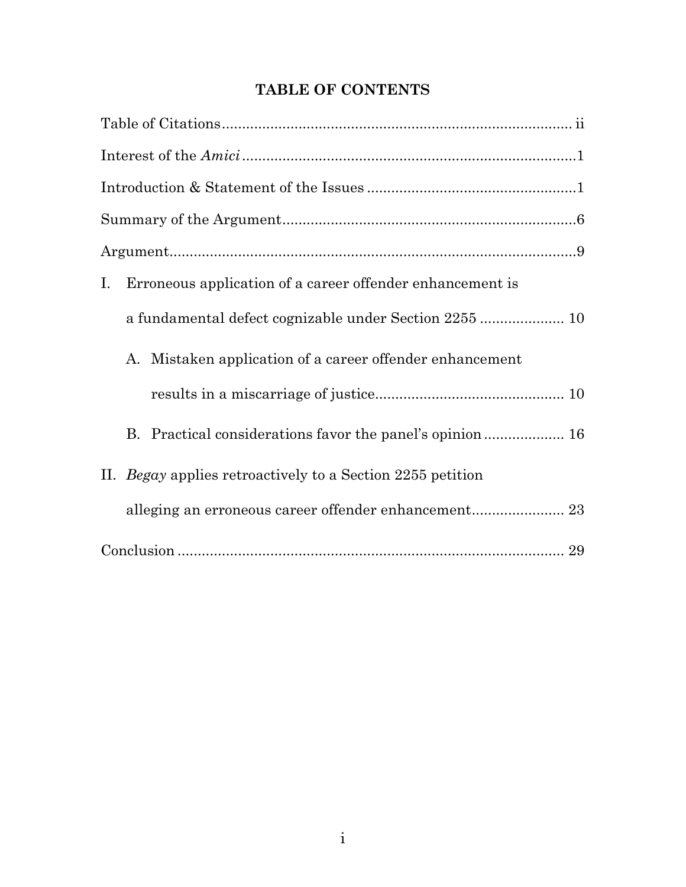# **TABLE OF CONTENTS**

| Erroneous application of a career offender enhancement is<br>Ι. |
|-----------------------------------------------------------------|
|                                                                 |
| Mistaken application of a career offender enhancement<br>A.     |
|                                                                 |
| B. Practical considerations favor the panel's opinion 16        |
| II. Begay applies retroactively to a Section 2255 petition      |
|                                                                 |
|                                                                 |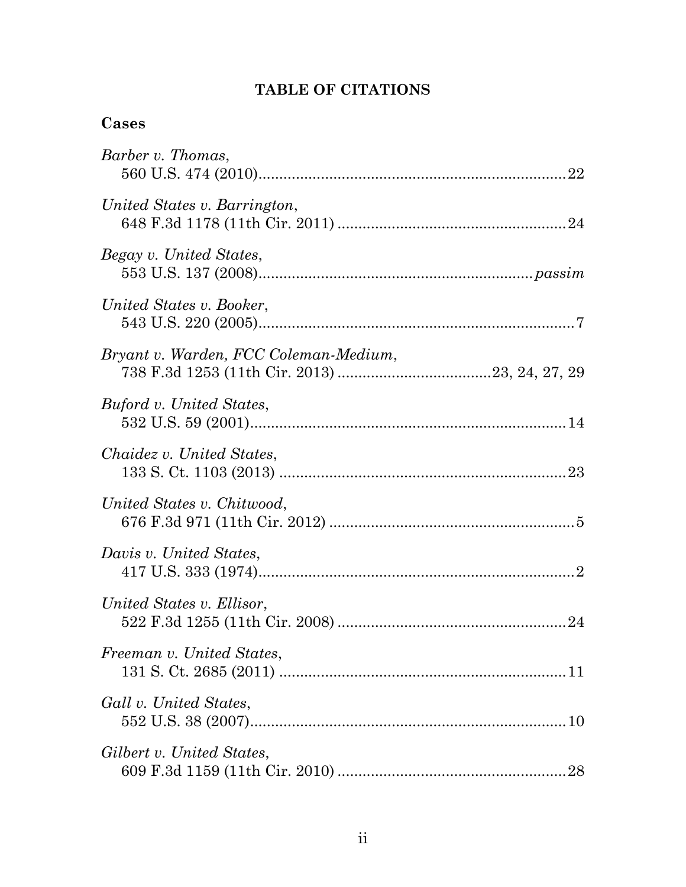# **TABLE OF CITATIONS**

## **Cases**

| Barber v. Thomas,                     |
|---------------------------------------|
| United States v. Barrington,          |
| Begay v. United States,               |
| United States v. Booker,              |
| Bryant v. Warden, FCC Coleman-Medium, |
| Buford v. United States,              |
| Chaidez v. United States,             |
| United States v. Chitwood,            |
| Davis v. United States,               |
| United States v. Ellisor,             |
| Freeman v. United States,             |
| Gall v. United States,                |
| Gilbert v. United States,<br>28       |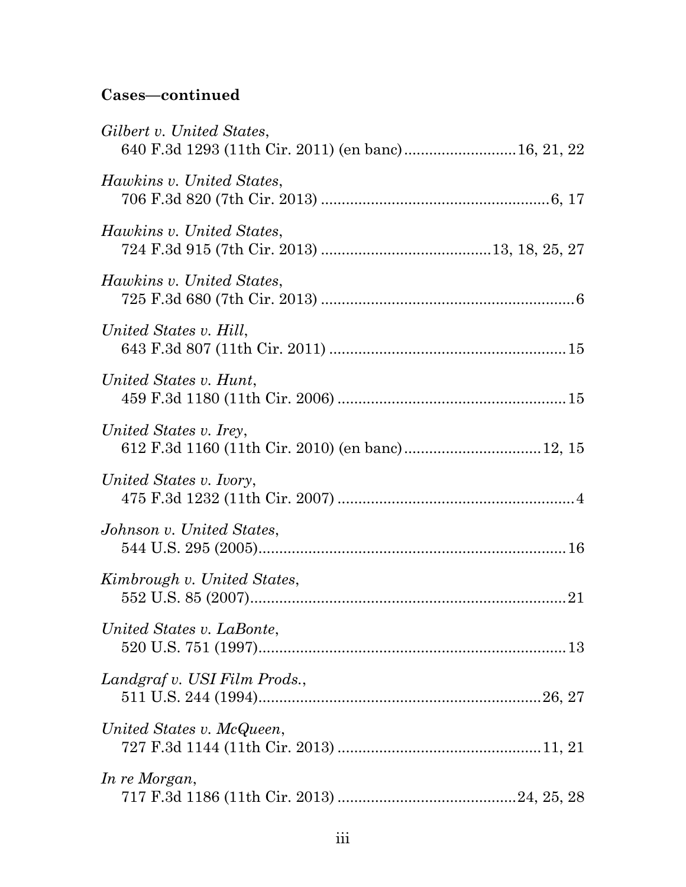# **Cases—continued**

| Gilbert v. United States,<br>640 F.3d 1293 (11th Cir. 2011) (en banc) 16, 21, 22 |  |
|----------------------------------------------------------------------------------|--|
| Hawkins v. United States,                                                        |  |
| <i>Hawkins v. United States,</i>                                                 |  |
| Hawkins v. United States,                                                        |  |
| United States v. Hill,                                                           |  |
| United States v. Hunt,                                                           |  |
| United States v. Irey,                                                           |  |
| United States v. Ivory,                                                          |  |
| Johnson v. United States,                                                        |  |
| Kimbrough v. United States,                                                      |  |
| United States v. LaBonte,                                                        |  |
| Landgraf v. USI Film Prods.,                                                     |  |
| United States v. McQueen,                                                        |  |
| In re Morgan,                                                                    |  |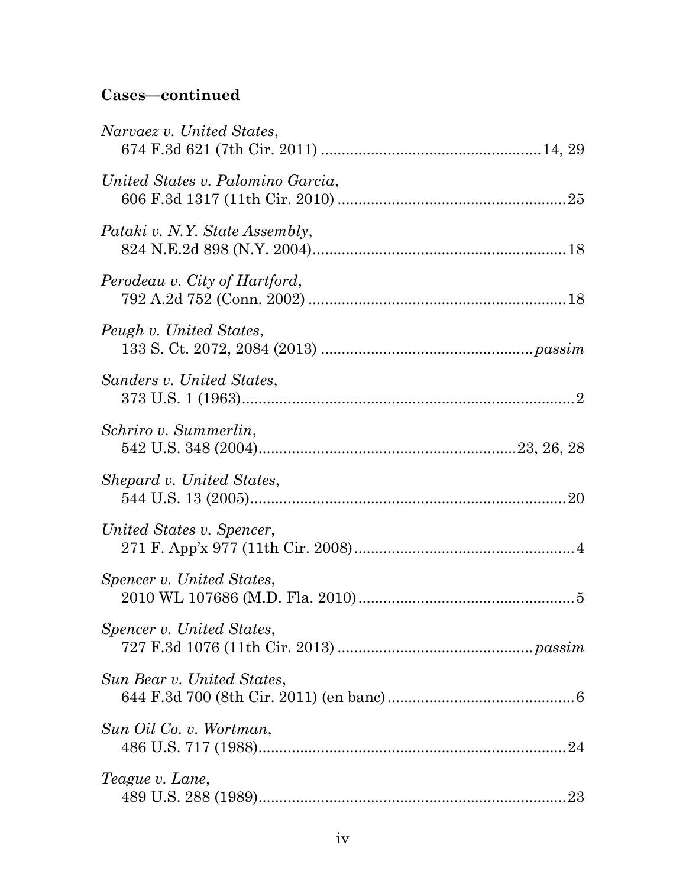# **Cases—continued**

| Narvaez v. United States,         |  |
|-----------------------------------|--|
| United States v. Palomino Garcia, |  |
| Pataki v. N.Y. State Assembly,    |  |
| Perodeau v. City of Hartford,     |  |
| Peugh v. United States,           |  |
| Sanders v. United States,         |  |
| Schriro v. Summerlin,             |  |
| Shepard v. United States,         |  |
| United States v. Spencer,         |  |
| Spencer v. United States,         |  |
| Spencer v. United States,         |  |
| Sun Bear v. United States,        |  |
| Sun Oil Co. v. Wortman,           |  |
| Teague v. Lane,                   |  |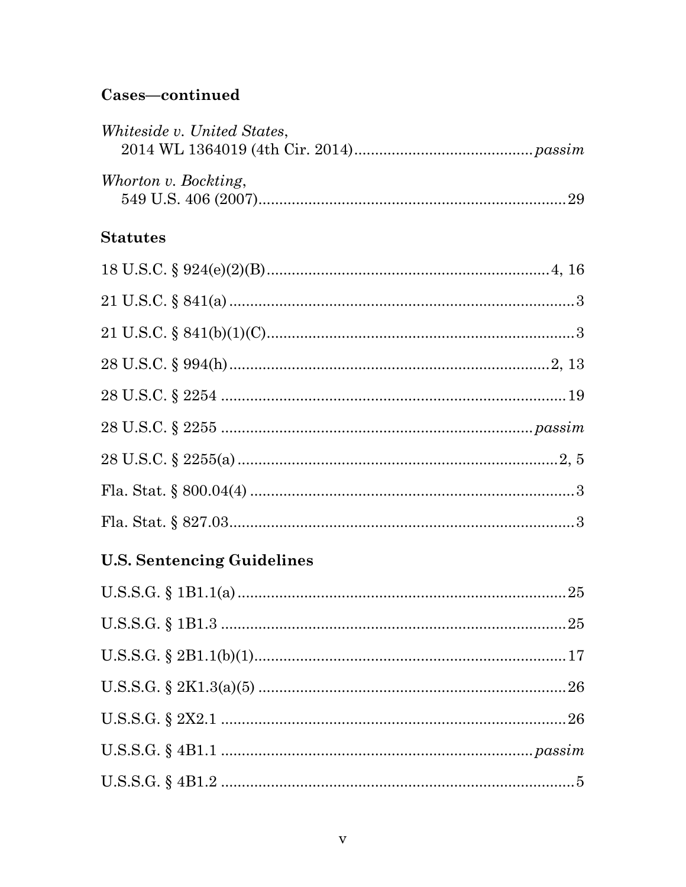# Cases-continued

| Whiteside v. United States,       |  |  |
|-----------------------------------|--|--|
| Whorton v. Bockting,              |  |  |
| <b>Statutes</b>                   |  |  |
|                                   |  |  |
|                                   |  |  |
|                                   |  |  |
|                                   |  |  |
|                                   |  |  |
|                                   |  |  |
|                                   |  |  |
|                                   |  |  |
|                                   |  |  |
| <b>U.S. Sentencing Guidelines</b> |  |  |
|                                   |  |  |
|                                   |  |  |
|                                   |  |  |

| ${\bf U.S.S.G.} \ \S \ 4{\bf B1.1} \  \  \  \  \  \  \  \  \  \ . \ . \ passim$ |  |
|---------------------------------------------------------------------------------|--|
|                                                                                 |  |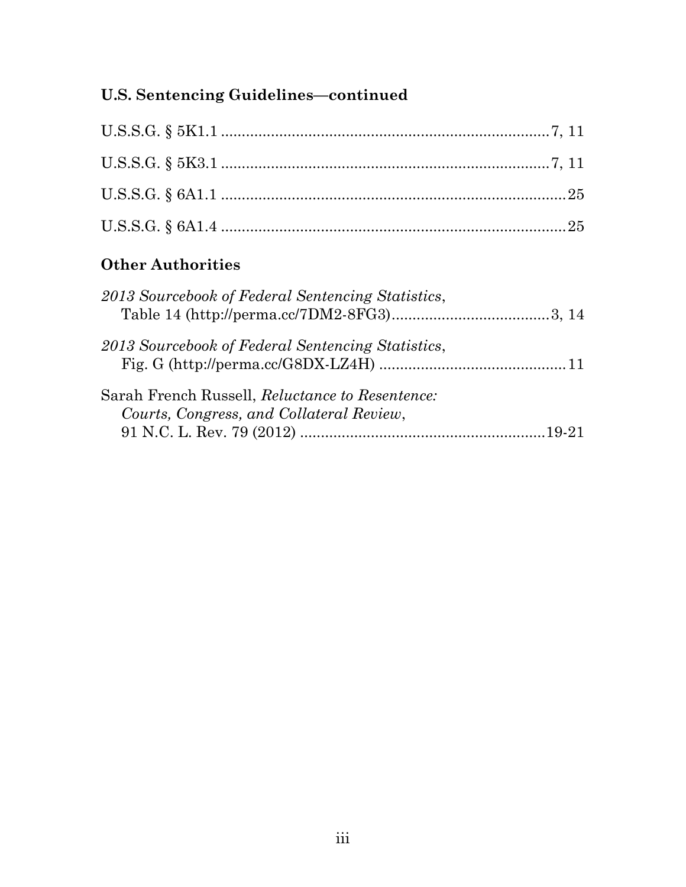# **U.S. Sentencing Guidelines—continued**

# **Other Authorities**

| 2013 Sourcebook of Federal Sentencing Statistics,                                           |  |
|---------------------------------------------------------------------------------------------|--|
| 2013 Sourcebook of Federal Sentencing Statistics,                                           |  |
| Sarah French Russell, Reluctance to Resentence:<br>Courts, Congress, and Collateral Review, |  |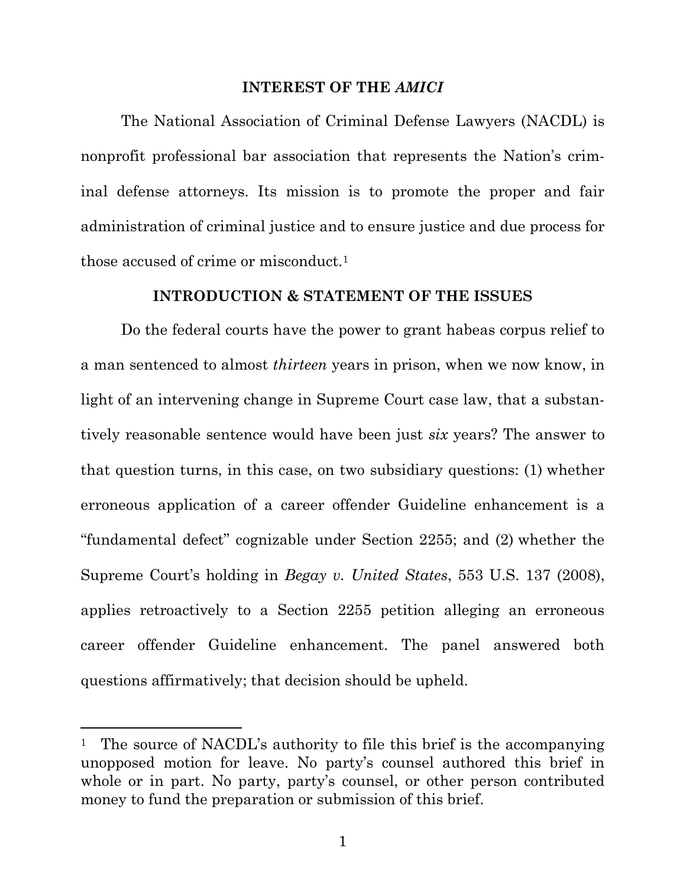#### **INTEREST OF THE** *AMICI*

The National Association of Criminal Defense Lawyers (NACDL) is nonprofit professional bar association that represents the Nation's criminal defense attorneys. Its mission is to promote the proper and fair administration of criminal justice and to ensure justice and due process for those accused of crime or misconduct.<sup>1</sup>

#### **INTRODUCTION & STATEMENT OF THE ISSUES**

Do the federal courts have the power to grant habeas corpus relief to a man sentenced to almost *thirteen* years in prison, when we now know, in light of an intervening change in Supreme Court case law, that a substantively reasonable sentence would have been just *six* years? The answer to that question turns, in this case, on two subsidiary questions: (1) whether erroneous application of a career offender Guideline enhancement is a "fundamental defect" cognizable under Section 2255; and (2) whether the Supreme Court's holding in *Begay v. United States*, 553 U.S. 137 (2008), applies retroactively to a Section 2255 petition alleging an erroneous career offender Guideline enhancement. The panel answered both questions affirmatively; that decision should be upheld.

<sup>&</sup>lt;sup>1</sup> The source of NACDL's authority to file this brief is the accompanying unopposed motion for leave. No party's counsel authored this brief in whole or in part. No party, party's counsel, or other person contributed money to fund the preparation or submission of this brief.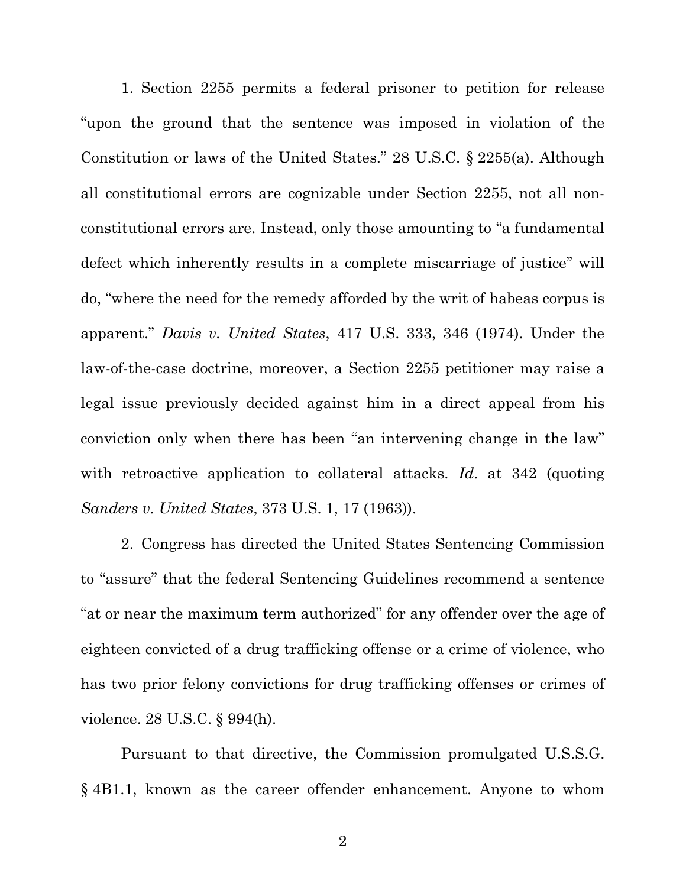1. Section 2255 permits a federal prisoner to petition for release "upon the ground that the sentence was imposed in violation of the Constitution or laws of the United States." 28 U.S.C. § 2255(a). Although all constitutional errors are cognizable under Section 2255, not all nonconstitutional errors are. Instead, only those amounting to "a fundamental defect which inherently results in a complete miscarriage of justice" will do, "where the need for the remedy afforded by the writ of habeas corpus is apparent." *Davis v. United States*, 417 U.S. 333, 346 (1974). Under the law-of-the-case doctrine, moreover, a Section 2255 petitioner may raise a legal issue previously decided against him in a direct appeal from his conviction only when there has been "an intervening change in the law" with retroactive application to collateral attacks. *Id*. at 342 (quoting *Sanders v. United States*, 373 U.S. 1, 17 (1963)).

2. Congress has directed the United States Sentencing Commission to "assure" that the federal Sentencing Guidelines recommend a sentence "at or near the maximum term authorized" for any offender over the age of eighteen convicted of a drug trafficking offense or a crime of violence, who has two prior felony convictions for drug trafficking offenses or crimes of violence. 28 U.S.C. § 994(h).

Pursuant to that directive, the Commission promulgated U.S.S.G. § 4B1.1, known as the career offender enhancement. Anyone to whom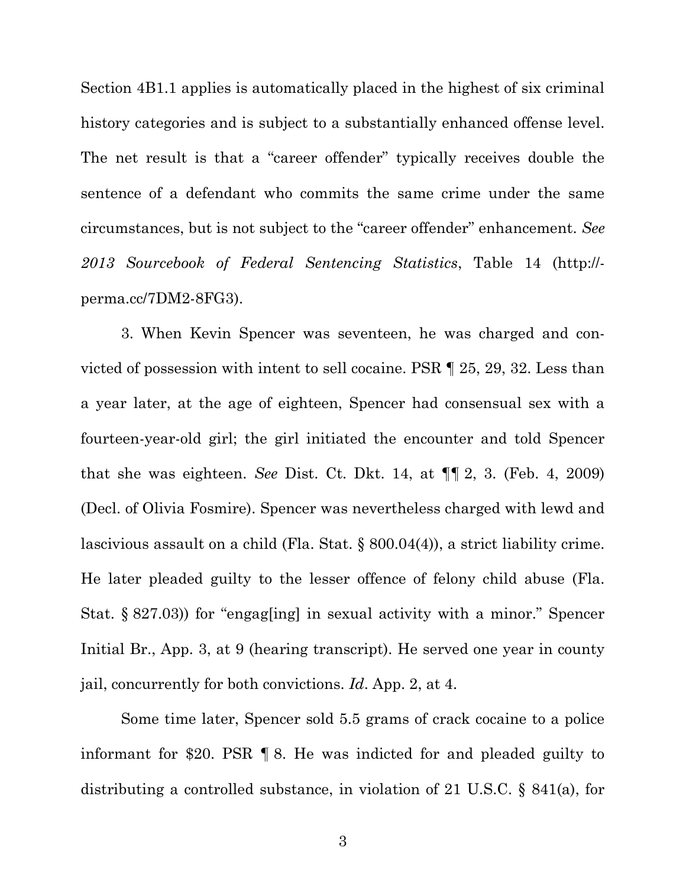Section 4B1.1 applies is automatically placed in the highest of six criminal history categories and is subject to a substantially enhanced offense level. The net result is that a "career offender" typically receives double the sentence of a defendant who commits the same crime under the same circumstances, but is not subject to the "career offender" enhancement. *See 2013 Sourcebook of Federal Sentencing Statistics*, Table 14 (http:// perma.cc/7DM2-8FG3).

3. When Kevin Spencer was seventeen, he was charged and convicted of possession with intent to sell cocaine. PSR ¶ 25, 29, 32. Less than a year later, at the age of eighteen, Spencer had consensual sex with a fourteen-year-old girl; the girl initiated the encounter and told Spencer that she was eighteen. *See* Dist. Ct. Dkt. 14, at ¶¶ 2, 3. (Feb. 4, 2009) (Decl. of Olivia Fosmire). Spencer was nevertheless charged with lewd and lascivious assault on a child (Fla. Stat. § 800.04(4)), a strict liability crime. He later pleaded guilty to the lesser offence of felony child abuse (Fla. Stat. § 827.03)) for "engag[ing] in sexual activity with a minor." Spencer Initial Br., App. 3, at 9 (hearing transcript). He served one year in county jail, concurrently for both convictions. *Id*. App. 2, at 4.

Some time later, Spencer sold 5.5 grams of crack cocaine to a police informant for \$20. PSR ¶ 8. He was indicted for and pleaded guilty to distributing a controlled substance, in violation of 21 U.S.C. § 841(a), for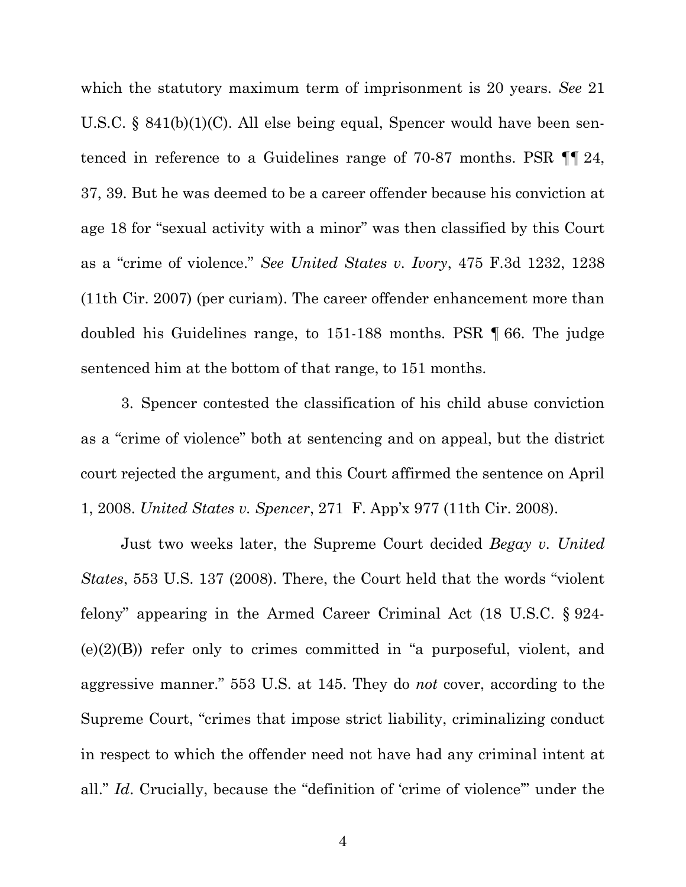which the statutory maximum term of imprisonment is 20 years. *See* 21 U.S.C. § 841(b)(1)(C). All else being equal, Spencer would have been sentenced in reference to a Guidelines range of 70-87 months. PSR ¶¶ 24, 37, 39. But he was deemed to be a career offender because his conviction at age 18 for "sexual activity with a minor" was then classified by this Court as a "crime of violence." *See United States v. Ivory*, 475 F.3d 1232, 1238 (11th Cir. 2007) (per curiam). The career offender enhancement more than doubled his Guidelines range, to 151-188 months. PSR ¶ 66. The judge sentenced him at the bottom of that range, to 151 months.

3. Spencer contested the classification of his child abuse conviction as a "crime of violence" both at sentencing and on appeal, but the district court rejected the argument, and this Court affirmed the sentence on April 1, 2008. *United States v. Spencer*, 271 F. App'x 977 (11th Cir. 2008).

Just two weeks later, the Supreme Court decided *Begay v. United States*, 553 U.S. 137 (2008). There, the Court held that the words "violent felony" appearing in the Armed Career Criminal Act (18 U.S.C. § 924-  $(e)(2)(B)$  refer only to crimes committed in "a purposeful, violent, and aggressive manner." 553 U.S. at 145. They do *not* cover, according to the Supreme Court, "crimes that impose strict liability, criminalizing conduct in respect to which the offender need not have had any criminal intent at all." *Id.* Crucially, because the "definition of 'crime of violence" under the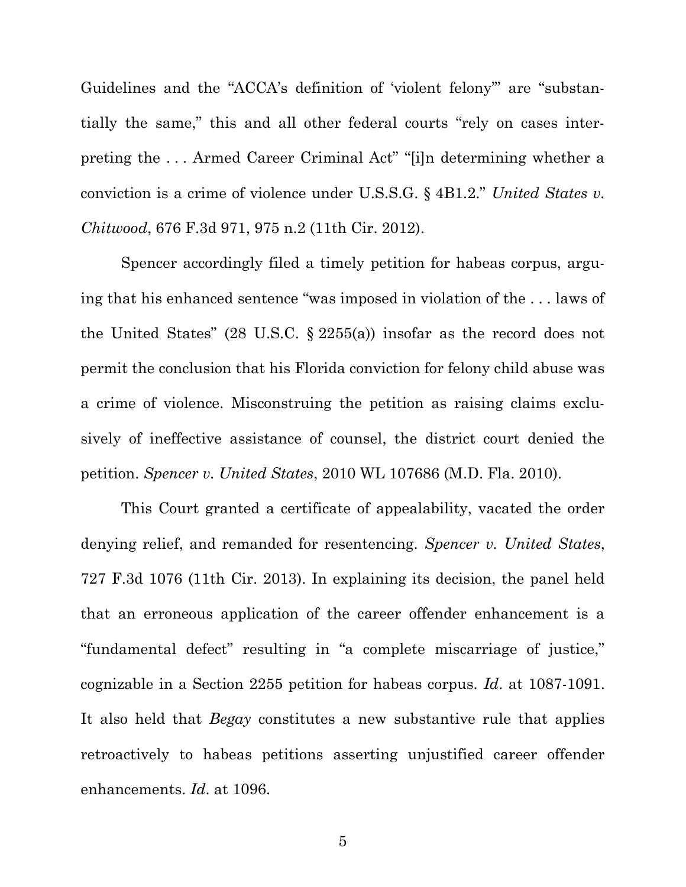Guidelines and the "ACCA's definition of 'violent felony'" are "substantially the same," this and all other federal courts "rely on cases interpreting the . . . Armed Career Criminal Act" "[i]n determining whether a conviction is a crime of violence under U.S.S.G. § 4B1.2." *United States v. Chitwood*, 676 F.3d 971, 975 n.2 (11th Cir. 2012).

Spencer accordingly filed a timely petition for habeas corpus, arguing that his enhanced sentence "was imposed in violation of the . . . laws of the United States" (28 U.S.C. § 2255(a)) insofar as the record does not permit the conclusion that his Florida conviction for felony child abuse was a crime of violence. Misconstruing the petition as raising claims exclusively of ineffective assistance of counsel, the district court denied the petition. *Spencer v. United States*, 2010 WL 107686 (M.D. Fla. 2010).

This Court granted a certificate of appealability, vacated the order denying relief, and remanded for resentencing. *Spencer v. United States*, 727 F.3d 1076 (11th Cir. 2013). In explaining its decision, the panel held that an erroneous application of the career offender enhancement is a "fundamental defect" resulting in "a complete miscarriage of justice," cognizable in a Section 2255 petition for habeas corpus. *Id*. at 1087-1091. It also held that *Begay* constitutes a new substantive rule that applies retroactively to habeas petitions asserting unjustified career offender enhancements. *Id*. at 1096.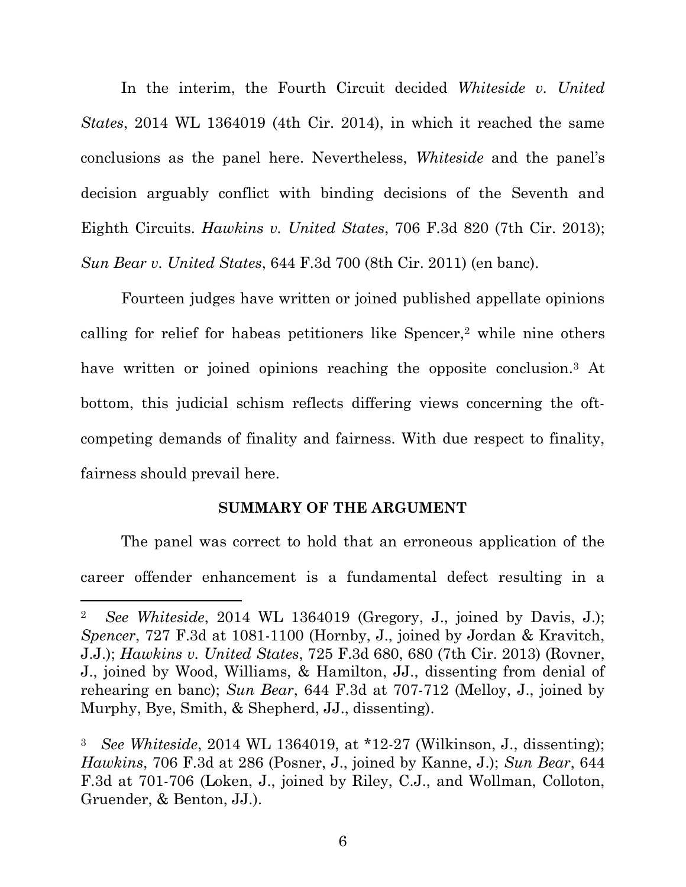In the interim, the Fourth Circuit decided *Whiteside v. United States*, 2014 WL 1364019 (4th Cir. 2014), in which it reached the same conclusions as the panel here. Nevertheless, *Whiteside* and the panel's decision arguably conflict with binding decisions of the Seventh and Eighth Circuits. *Hawkins v. United States*, 706 F.3d 820 (7th Cir. 2013); *Sun Bear v. United States*, 644 F.3d 700 (8th Cir. 2011) (en banc).

Fourteen judges have written or joined published appellate opinions calling for relief for habeas petitioners like Spencer,<sup>2</sup> while nine others have written or joined opinions reaching the opposite conclusion.<sup>3</sup> At bottom, this judicial schism reflects differing views concerning the oftcompeting demands of finality and fairness. With due respect to finality, fairness should prevail here.

#### **SUMMARY OF THE ARGUMENT**

The panel was correct to hold that an erroneous application of the career offender enhancement is a fundamental defect resulting in a

<sup>2</sup> *See Whiteside*, 2014 WL 1364019 (Gregory, J., joined by Davis, J.); *Spencer*, 727 F.3d at 1081-1100 (Hornby, J., joined by Jordan & Kravitch, J.J.); *Hawkins v. United States*, 725 F.3d 680, 680 (7th Cir. 2013) (Rovner, J., joined by Wood, Williams, & Hamilton, JJ., dissenting from denial of rehearing en banc); *Sun Bear*, 644 F.3d at 707-712 (Melloy, J., joined by Murphy, Bye, Smith, & Shepherd, JJ., dissenting).

<sup>3</sup> *See Whiteside*, 2014 WL 1364019, at \*12-27 (Wilkinson, J., dissenting); *Hawkins*, 706 F.3d at 286 (Posner, J., joined by Kanne, J.); *Sun Bear*, 644 F.3d at 701-706 (Loken, J., joined by Riley, C.J., and Wollman, Colloton, Gruender, & Benton, JJ.).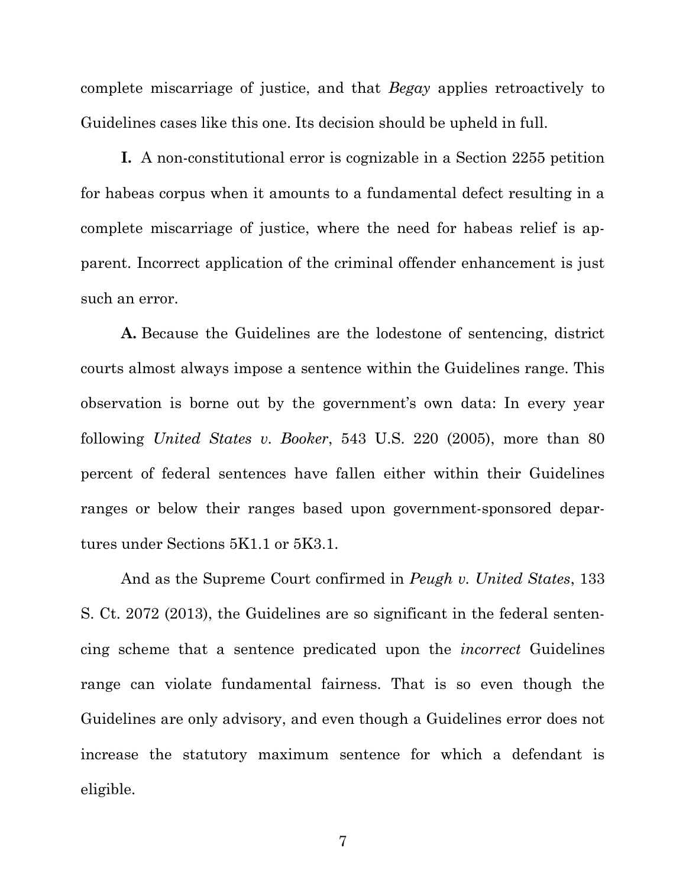complete miscarriage of justice, and that *Begay* applies retroactively to Guidelines cases like this one. Its decision should be upheld in full.

**I.** A non-constitutional error is cognizable in a Section 2255 petition for habeas corpus when it amounts to a fundamental defect resulting in a complete miscarriage of justice, where the need for habeas relief is apparent. Incorrect application of the criminal offender enhancement is just such an error.

**A.** Because the Guidelines are the lodestone of sentencing, district courts almost always impose a sentence within the Guidelines range. This observation is borne out by the government's own data: In every year following *United States v. Booker*, 543 U.S. 220 (2005), more than 80 percent of federal sentences have fallen either within their Guidelines ranges or below their ranges based upon government-sponsored departures under Sections 5K1.1 or 5K3.1.

And as the Supreme Court confirmed in *Peugh v. United States*, 133 S. Ct. 2072 (2013), the Guidelines are so significant in the federal sentencing scheme that a sentence predicated upon the *incorrect* Guidelines range can violate fundamental fairness. That is so even though the Guidelines are only advisory, and even though a Guidelines error does not increase the statutory maximum sentence for which a defendant is eligible.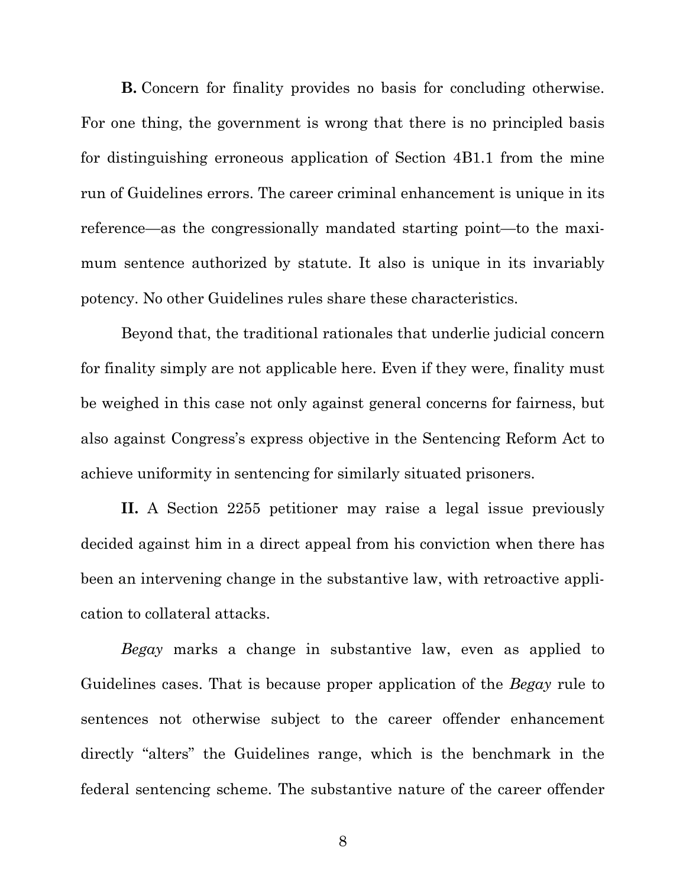**B.** Concern for finality provides no basis for concluding otherwise. For one thing, the government is wrong that there is no principled basis for distinguishing erroneous application of Section 4B1.1 from the mine run of Guidelines errors. The career criminal enhancement is unique in its reference—as the congressionally mandated starting point—to the maximum sentence authorized by statute. It also is unique in its invariably potency. No other Guidelines rules share these characteristics.

Beyond that, the traditional rationales that underlie judicial concern for finality simply are not applicable here. Even if they were, finality must be weighed in this case not only against general concerns for fairness, but also against Congress's express objective in the Sentencing Reform Act to achieve uniformity in sentencing for similarly situated prisoners.

**II.** A Section 2255 petitioner may raise a legal issue previously decided against him in a direct appeal from his conviction when there has been an intervening change in the substantive law, with retroactive application to collateral attacks.

*Begay* marks a change in substantive law, even as applied to Guidelines cases. That is because proper application of the *Begay* rule to sentences not otherwise subject to the career offender enhancement directly "alters" the Guidelines range, which is the benchmark in the federal sentencing scheme. The substantive nature of the career offender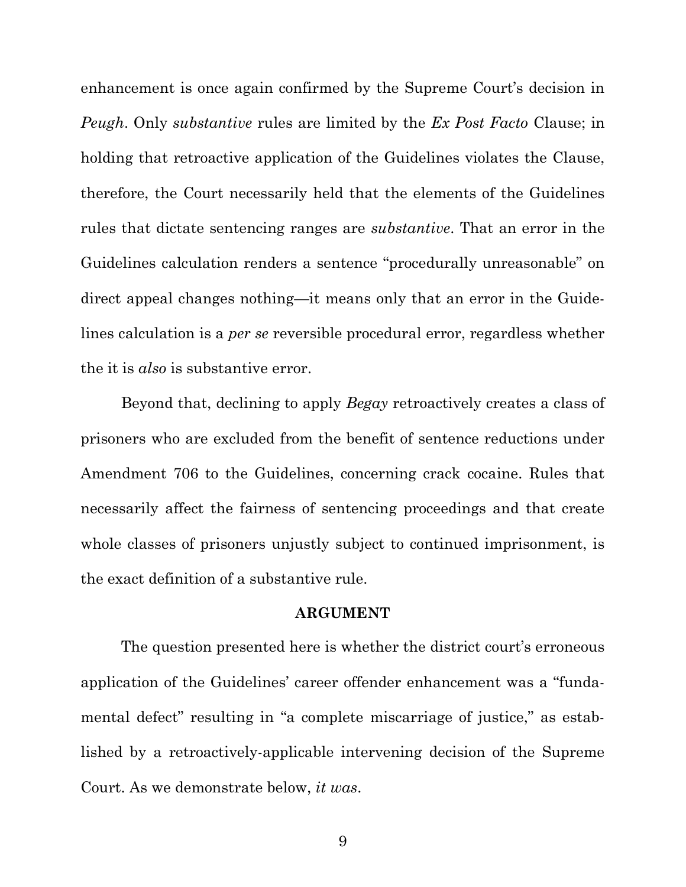enhancement is once again confirmed by the Supreme Court's decision in *Peugh*. Only *substantive* rules are limited by the *Ex Post Facto* Clause; in holding that retroactive application of the Guidelines violates the Clause, therefore, the Court necessarily held that the elements of the Guidelines rules that dictate sentencing ranges are *substantive*. That an error in the Guidelines calculation renders a sentence "procedurally unreasonable" on direct appeal changes nothing—it means only that an error in the Guidelines calculation is a *per se* reversible procedural error, regardless whether the it is *also* is substantive error.

Beyond that, declining to apply *Begay* retroactively creates a class of prisoners who are excluded from the benefit of sentence reductions under Amendment 706 to the Guidelines, concerning crack cocaine. Rules that necessarily affect the fairness of sentencing proceedings and that create whole classes of prisoners unjustly subject to continued imprisonment, is the exact definition of a substantive rule.

#### **ARGUMENT**

The question presented here is whether the district court's erroneous application of the Guidelines' career offender enhancement was a "fundamental defect" resulting in "a complete miscarriage of justice," as established by a retroactively-applicable intervening decision of the Supreme Court. As we demonstrate below, *it was*.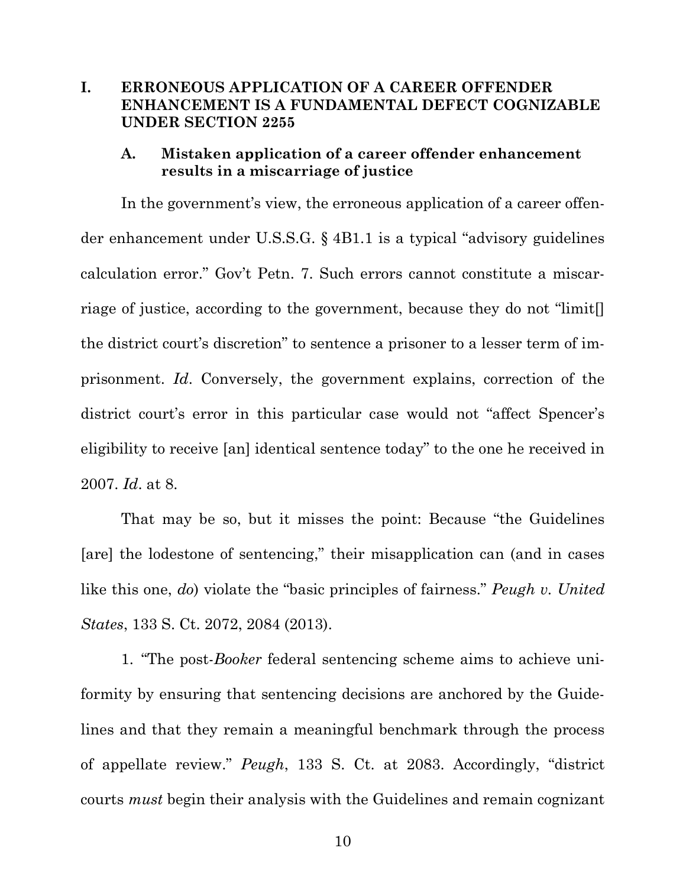## **I. ERRONEOUS APPLICATION OF A CAREER OFFENDER ENHANCEMENT IS A FUNDAMENTAL DEFECT COGNIZABLE UNDER SECTION 2255**

## **A. Mistaken application of a career offender enhancement results in a miscarriage of justice**

In the government's view, the erroneous application of a career offender enhancement under U.S.S.G. § 4B1.1 is a typical "advisory guidelines calculation error." Gov't Petn. 7. Such errors cannot constitute a miscarriage of justice, according to the government, because they do not "limit[] the district court's discretion" to sentence a prisoner to a lesser term of imprisonment. *Id*. Conversely, the government explains, correction of the district court's error in this particular case would not "affect Spencer's eligibility to receive [an] identical sentence today" to the one he received in 2007. *Id*. at 8.

That may be so, but it misses the point: Because "the Guidelines [are] the lodestone of sentencing," their misapplication can (and in cases like this one, *do*) violate the "basic principles of fairness." *Peugh v. United States*, 133 S. Ct. 2072, 2084 (2013).

1. "The post-*Booker* federal sentencing scheme aims to achieve uniformity by ensuring that sentencing decisions are anchored by the Guidelines and that they remain a meaningful benchmark through the process of appellate review." *Peugh*, 133 S. Ct. at 2083. Accordingly, "district courts *must* begin their analysis with the Guidelines and remain cognizant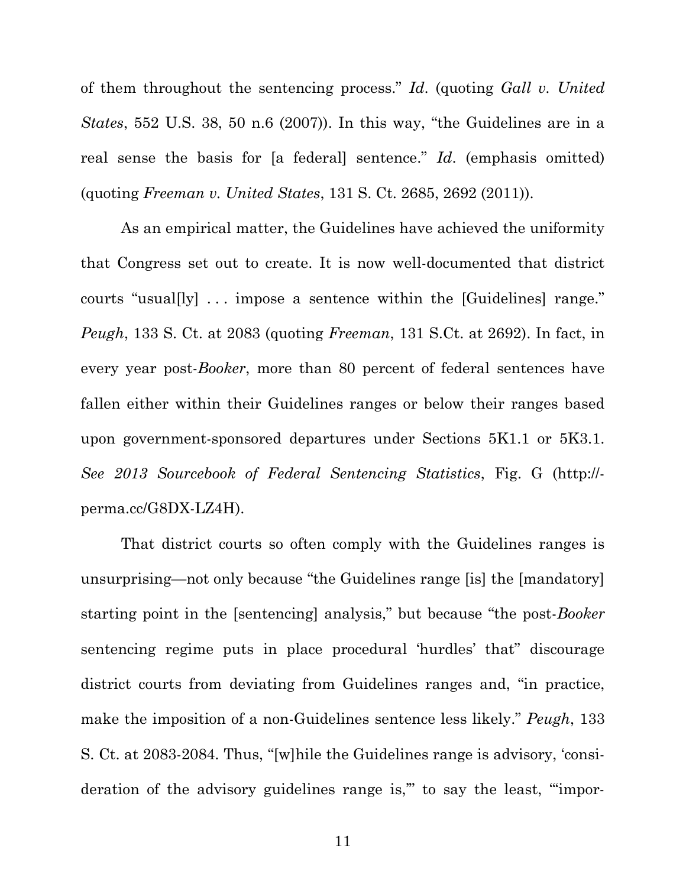of them throughout the sentencing process." *Id*. (quoting *Gall v. United States*, 552 U.S. 38, 50 n.6 (2007)). In this way, "the Guidelines are in a real sense the basis for [a federal] sentence." *Id*. (emphasis omitted) (quoting *Freeman v. United States*, 131 S. Ct. 2685, 2692 (2011)).

As an empirical matter, the Guidelines have achieved the uniformity that Congress set out to create. It is now well-documented that district courts "usual[ly] . . . impose a sentence within the [Guidelines] range." *Peugh*, 133 S. Ct. at 2083 (quoting *Freeman*, 131 S.Ct. at 2692). In fact, in every year post-*Booker*, more than 80 percent of federal sentences have fallen either within their Guidelines ranges or below their ranges based upon government-sponsored departures under Sections 5K1.1 or 5K3.1. *See 2013 Sourcebook of Federal Sentencing Statistics*, Fig. G (http:// perma.cc/G8DX-LZ4H).

That district courts so often comply with the Guidelines ranges is unsurprising—not only because "the Guidelines range [is] the [mandatory] starting point in the [sentencing] analysis," but because "the post-*Booker* sentencing regime puts in place procedural 'hurdles' that" discourage district courts from deviating from Guidelines ranges and, "in practice, make the imposition of a non-Guidelines sentence less likely." *Peugh*, 133 S. Ct. at 2083-2084. Thus, "[w]hile the Guidelines range is advisory, 'consideration of the advisory guidelines range is,'" to say the least, "'impor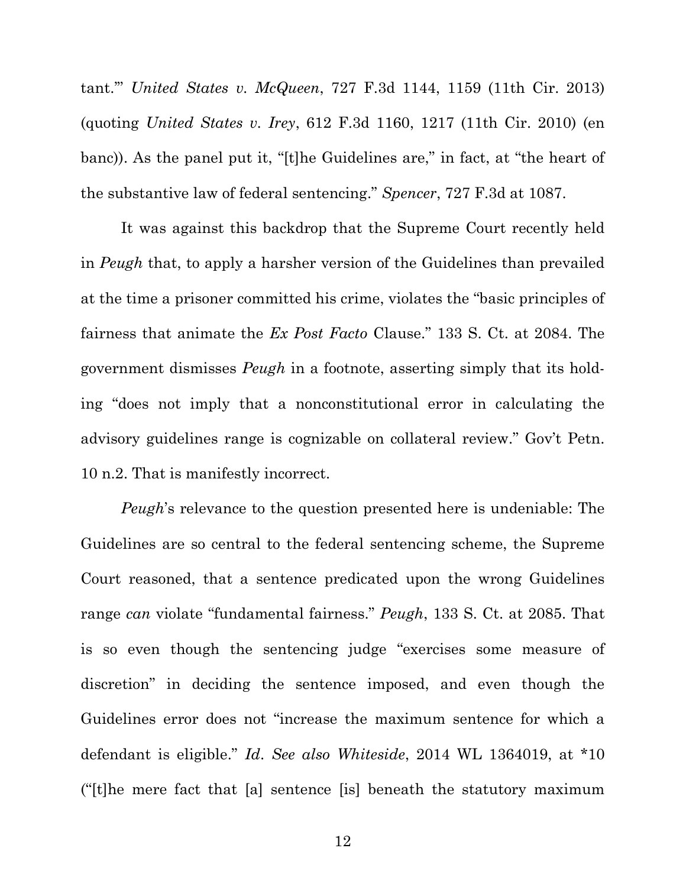tant.'" *United States v. McQueen*, 727 F.3d 1144, 1159 (11th Cir. 2013) (quoting *United States v. Irey*, 612 F.3d 1160, 1217 (11th Cir. 2010) (en banc)). As the panel put it, "[t]he Guidelines are," in fact, at "the heart of the substantive law of federal sentencing." *Spencer*, 727 F.3d at 1087.

It was against this backdrop that the Supreme Court recently held in *Peugh* that, to apply a harsher version of the Guidelines than prevailed at the time a prisoner committed his crime, violates the "basic principles of fairness that animate the *Ex Post Facto* Clause." 133 S. Ct. at 2084. The government dismisses *Peugh* in a footnote, asserting simply that its holding "does not imply that a nonconstitutional error in calculating the advisory guidelines range is cognizable on collateral review." Gov't Petn. 10 n.2. That is manifestly incorrect.

*Peugh*'s relevance to the question presented here is undeniable: The Guidelines are so central to the federal sentencing scheme, the Supreme Court reasoned, that a sentence predicated upon the wrong Guidelines range *can* violate "fundamental fairness." *Peugh*, 133 S. Ct. at 2085. That is so even though the sentencing judge "exercises some measure of discretion" in deciding the sentence imposed, and even though the Guidelines error does not "increase the maximum sentence for which a defendant is eligible." *Id*. *See also Whiteside*, 2014 WL 1364019, at \*10 ("[t]he mere fact that [a] sentence [is] beneath the statutory maximum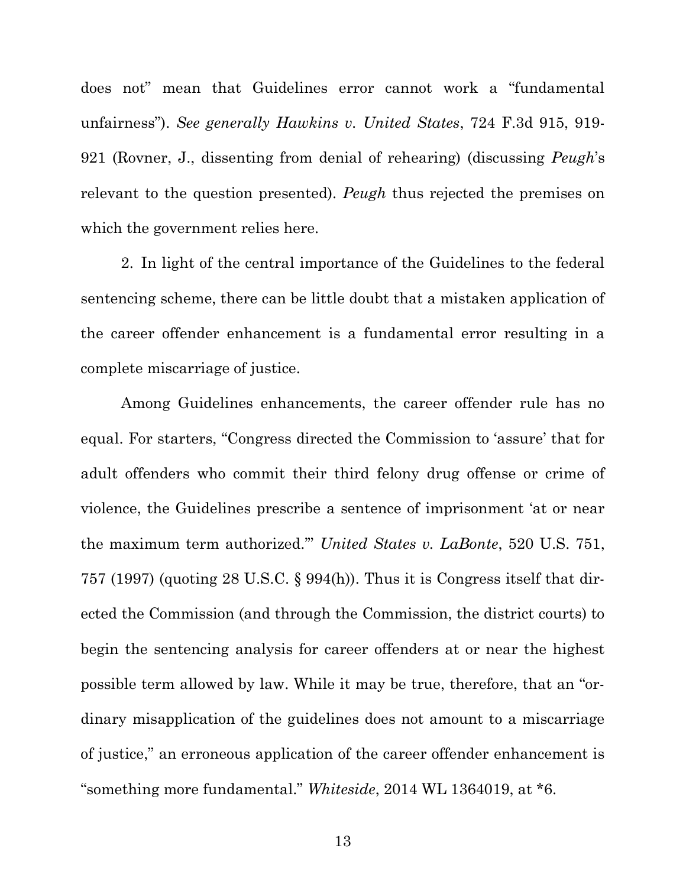does not" mean that Guidelines error cannot work a "fundamental unfairness"). *See generally Hawkins v. United States*, 724 F.3d 915, 919- 921 (Rovner, J., dissenting from denial of rehearing) (discussing *Peugh*'s relevant to the question presented). *Peugh* thus rejected the premises on which the government relies here.

2. In light of the central importance of the Guidelines to the federal sentencing scheme, there can be little doubt that a mistaken application of the career offender enhancement is a fundamental error resulting in a complete miscarriage of justice.

Among Guidelines enhancements, the career offender rule has no equal. For starters, "Congress directed the Commission to 'assure' that for adult offenders who commit their third felony drug offense or crime of violence, the Guidelines prescribe a sentence of imprisonment 'at or near the maximum term authorized.'" *United States v. LaBonte*, 520 U.S. 751, 757 (1997) (quoting 28 U.S.C. § 994(h)). Thus it is Congress itself that directed the Commission (and through the Commission, the district courts) to begin the sentencing analysis for career offenders at or near the highest possible term allowed by law. While it may be true, therefore, that an "ordinary misapplication of the guidelines does not amount to a miscarriage of justice," an erroneous application of the career offender enhancement is "something more fundamental." *Whiteside*, 2014 WL 1364019, at \*6.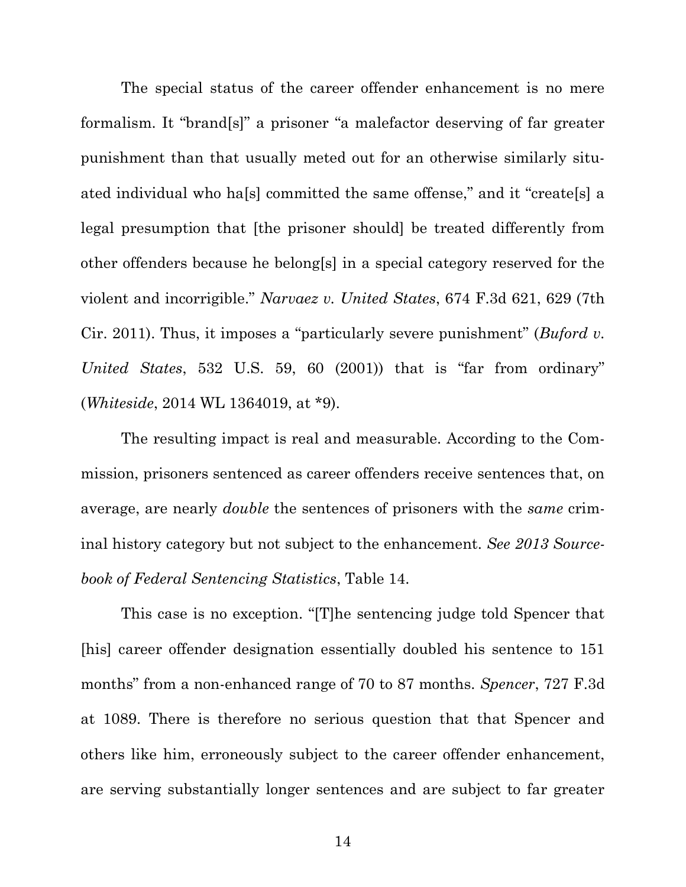The special status of the career offender enhancement is no mere formalism. It "brand[s]" a prisoner "a malefactor deserving of far greater punishment than that usually meted out for an otherwise similarly situated individual who ha[s] committed the same offense," and it "create[s] a legal presumption that [the prisoner should] be treated differently from other offenders because he belong[s] in a special category reserved for the violent and incorrigible." *Narvaez v. United States*, 674 F.3d 621, 629 (7th Cir. 2011). Thus, it imposes a "particularly severe punishment" (*Buford v. United States*, 532 U.S. 59, 60 (2001)) that is "far from ordinary" (*Whiteside*, 2014 WL 1364019, at \*9).

The resulting impact is real and measurable. According to the Commission, prisoners sentenced as career offenders receive sentences that, on average, are nearly *double* the sentences of prisoners with the *same* criminal history category but not subject to the enhancement. *See 2013 Sourcebook of Federal Sentencing Statistics*, Table 14.

This case is no exception. "[T]he sentencing judge told Spencer that [his] career offender designation essentially doubled his sentence to 151 months" from a non-enhanced range of 70 to 87 months. *Spencer*, 727 F.3d at 1089. There is therefore no serious question that that Spencer and others like him, erroneously subject to the career offender enhancement, are serving substantially longer sentences and are subject to far greater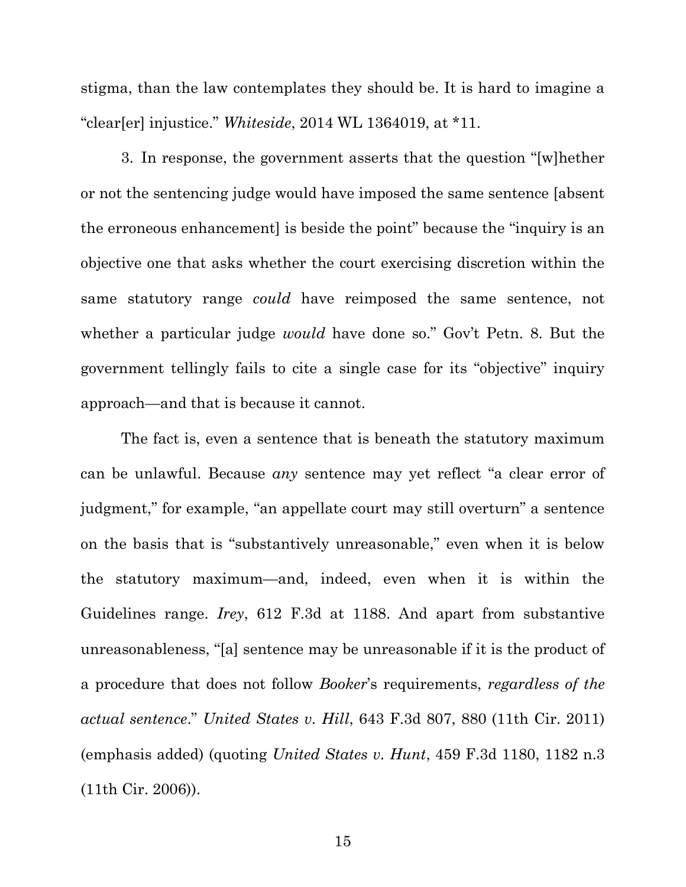stigma, than the law contemplates they should be. It is hard to imagine a "clear[er] injustice." *Whiteside*, 2014 WL 1364019, at \*11.

3. In response, the government asserts that the question "[w]hether or not the sentencing judge would have imposed the same sentence [absent the erroneous enhancement] is beside the point" because the "inquiry is an objective one that asks whether the court exercising discretion within the same statutory range *could* have reimposed the same sentence, not whether a particular judge *would* have done so." Gov't Petn. 8. But the government tellingly fails to cite a single case for its "objective" inquiry approach—and that is because it cannot.

The fact is, even a sentence that is beneath the statutory maximum can be unlawful. Because *any* sentence may yet reflect "a clear error of judgment," for example, "an appellate court may still overturn" a sentence on the basis that is "substantively unreasonable," even when it is below the statutory maximum—and, indeed, even when it is within the Guidelines range. *Irey*, 612 F.3d at 1188. And apart from substantive unreasonableness, "[a] sentence may be unreasonable if it is the product of a procedure that does not follow *Booker*'s requirements, *regardless of the actual sentence*." *United States v. Hill*, 643 F.3d 807, 880 (11th Cir. 2011) (emphasis added) (quoting *United States v. Hunt*, 459 F.3d 1180, 1182 n.3 (11th Cir. 2006)).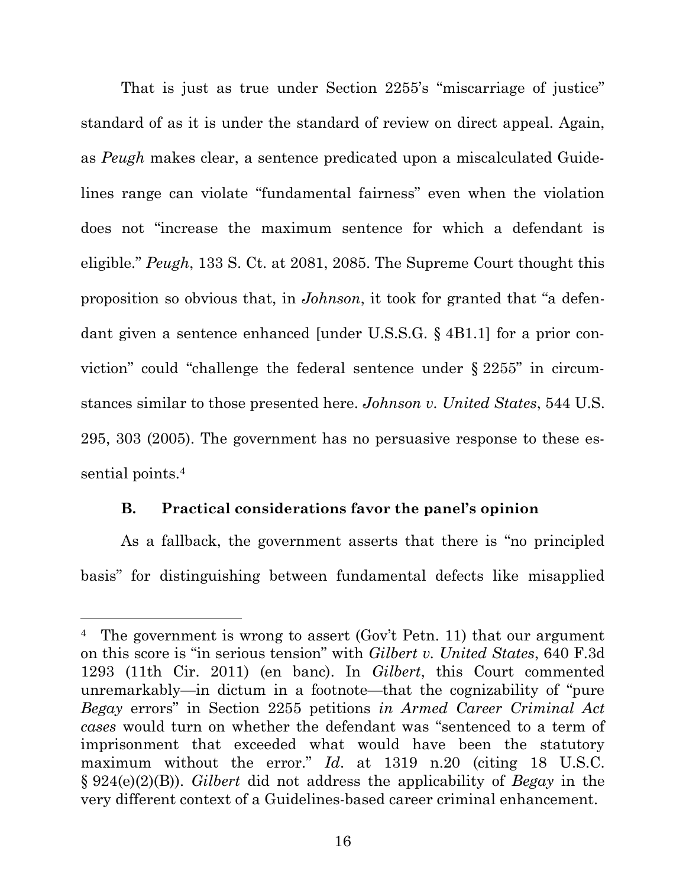That is just as true under Section 2255's "miscarriage of justice" standard of as it is under the standard of review on direct appeal. Again, as *Peugh* makes clear, a sentence predicated upon a miscalculated Guidelines range can violate "fundamental fairness" even when the violation does not "increase the maximum sentence for which a defendant is eligible." *Peugh*, 133 S. Ct. at 2081, 2085. The Supreme Court thought this proposition so obvious that, in *Johnson*, it took for granted that "a defendant given a sentence enhanced [under U.S.S.G. § 4B1.1] for a prior conviction" could "challenge the federal sentence under § 2255" in circumstances similar to those presented here. *Johnson v. United States*, 544 U.S. 295, 303 (2005). The government has no persuasive response to these essential points.<sup>4</sup>

## **B. Practical considerations favor the panel's opinion**

As a fallback, the government asserts that there is "no principled basis" for distinguishing between fundamental defects like misapplied

<sup>&</sup>lt;sup>4</sup> The government is wrong to assert (Gov't Petn. 11) that our argument on this score is "in serious tension" with *Gilbert v. United States*, 640 F.3d 1293 (11th Cir. 2011) (en banc). In *Gilbert*, this Court commented unremarkably—in dictum in a footnote—that the cognizability of "pure *Begay* errors" in Section 2255 petitions *in Armed Career Criminal Act cases* would turn on whether the defendant was "sentenced to a term of imprisonment that exceeded what would have been the statutory maximum without the error." *Id*. at 1319 n.20 (citing 18 U.S.C. § 924(e)(2)(B)). *Gilbert* did not address the applicability of *Begay* in the very different context of a Guidelines-based career criminal enhancement.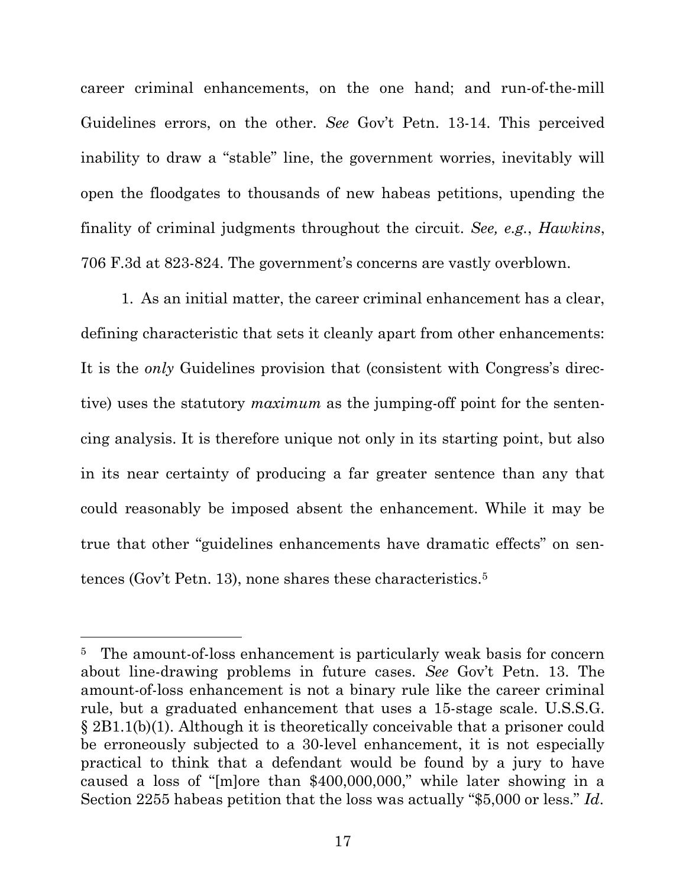career criminal enhancements, on the one hand; and run-of-the-mill Guidelines errors, on the other. *See* Gov't Petn. 13-14. This perceived inability to draw a "stable" line, the government worries, inevitably will open the floodgates to thousands of new habeas petitions, upending the finality of criminal judgments throughout the circuit. *See, e.g.*, *Hawkins*, 706 F.3d at 823-824. The government's concerns are vastly overblown.

1. As an initial matter, the career criminal enhancement has a clear, defining characteristic that sets it cleanly apart from other enhancements: It is the *only* Guidelines provision that (consistent with Congress's directive) uses the statutory *maximum* as the jumping-off point for the sentencing analysis. It is therefore unique not only in its starting point, but also in its near certainty of producing a far greater sentence than any that could reasonably be imposed absent the enhancement. While it may be true that other "guidelines enhancements have dramatic effects" on sentences (Gov't Petn. 13), none shares these characteristics.<sup>5</sup>

<sup>&</sup>lt;sup>5</sup> The amount-of-loss enhancement is particularly weak basis for concern about line-drawing problems in future cases. *See* Gov't Petn. 13. The amount-of-loss enhancement is not a binary rule like the career criminal rule, but a graduated enhancement that uses a 15-stage scale. U.S.S.G. § 2B1.1(b)(1). Although it is theoretically conceivable that a prisoner could be erroneously subjected to a 30-level enhancement, it is not especially practical to think that a defendant would be found by a jury to have caused a loss of "[m]ore than \$400,000,000," while later showing in a Section 2255 habeas petition that the loss was actually "\$5,000 or less." *Id*.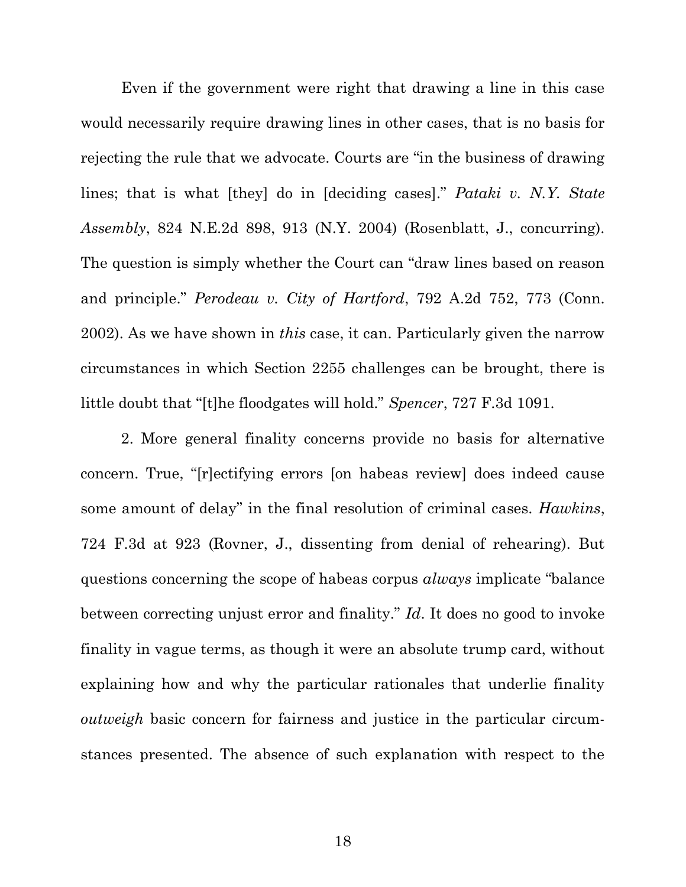Even if the government were right that drawing a line in this case would necessarily require drawing lines in other cases, that is no basis for rejecting the rule that we advocate. Courts are "in the business of drawing lines; that is what [they] do in [deciding cases]." *Pataki v. N.Y. State Assembly*, 824 N.E.2d 898, 913 (N.Y. 2004) (Rosenblatt, J., concurring). The question is simply whether the Court can "draw lines based on reason and principle." *Perodeau v. City of Hartford*, 792 A.2d 752, 773 (Conn. 2002). As we have shown in *this* case, it can. Particularly given the narrow circumstances in which Section 2255 challenges can be brought, there is little doubt that "[t]he floodgates will hold." *Spencer*, 727 F.3d 1091.

2. More general finality concerns provide no basis for alternative concern. True, "[r]ectifying errors [on habeas review] does indeed cause some amount of delay" in the final resolution of criminal cases. *Hawkins*, 724 F.3d at 923 (Rovner, J., dissenting from denial of rehearing). But questions concerning the scope of habeas corpus *always* implicate "balance between correcting unjust error and finality." *Id*. It does no good to invoke finality in vague terms, as though it were an absolute trump card, without explaining how and why the particular rationales that underlie finality *outweigh* basic concern for fairness and justice in the particular circumstances presented. The absence of such explanation with respect to the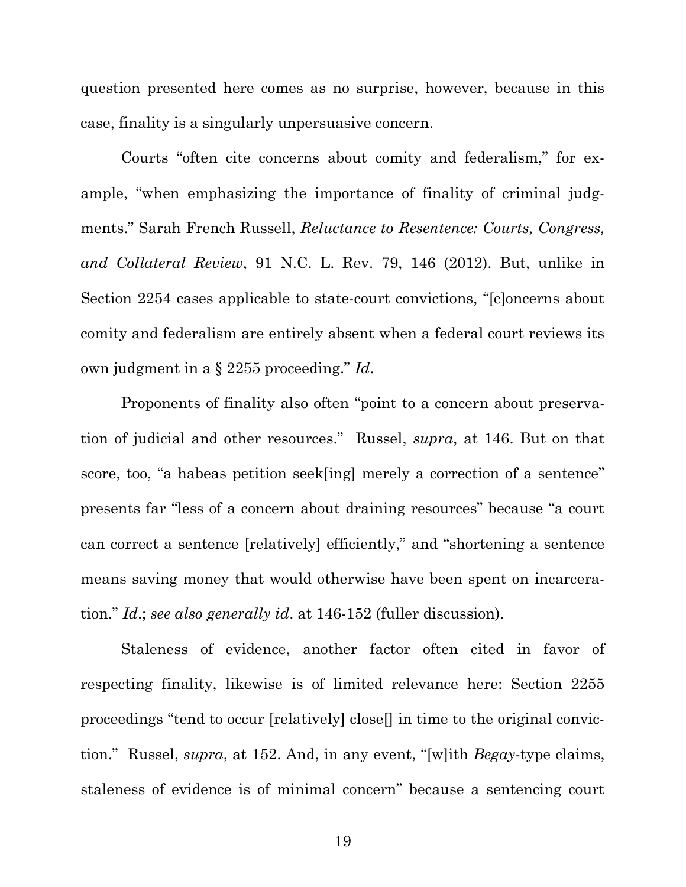question presented here comes as no surprise, however, because in this case, finality is a singularly unpersuasive concern.

Courts "often cite concerns about comity and federalism," for example, "when emphasizing the importance of finality of criminal judgments." Sarah French Russell, *Reluctance to Resentence: Courts, Congress, and Collateral Review*, 91 N.C. L. Rev. 79, 146 (2012). But, unlike in Section 2254 cases applicable to state-court convictions, "[c]oncerns about comity and federalism are entirely absent when a federal court reviews its own judgment in a § 2255 proceeding." *Id*.

Proponents of finality also often "point to a concern about preservation of judicial and other resources." Russel, *supra*, at 146. But on that score, too, "a habeas petition seek[ing] merely a correction of a sentence" presents far "less of a concern about draining resources" because "a court can correct a sentence [relatively] efficiently," and "shortening a sentence means saving money that would otherwise have been spent on incarceration." *Id*.; *see also generally id*. at 146-152 (fuller discussion).

Staleness of evidence, another factor often cited in favor of respecting finality, likewise is of limited relevance here: Section 2255 proceedings "tend to occur [relatively] close[] in time to the original conviction." Russel, *supra*, at 152. And, in any event, "[w]ith *Begay*-type claims, staleness of evidence is of minimal concern" because a sentencing court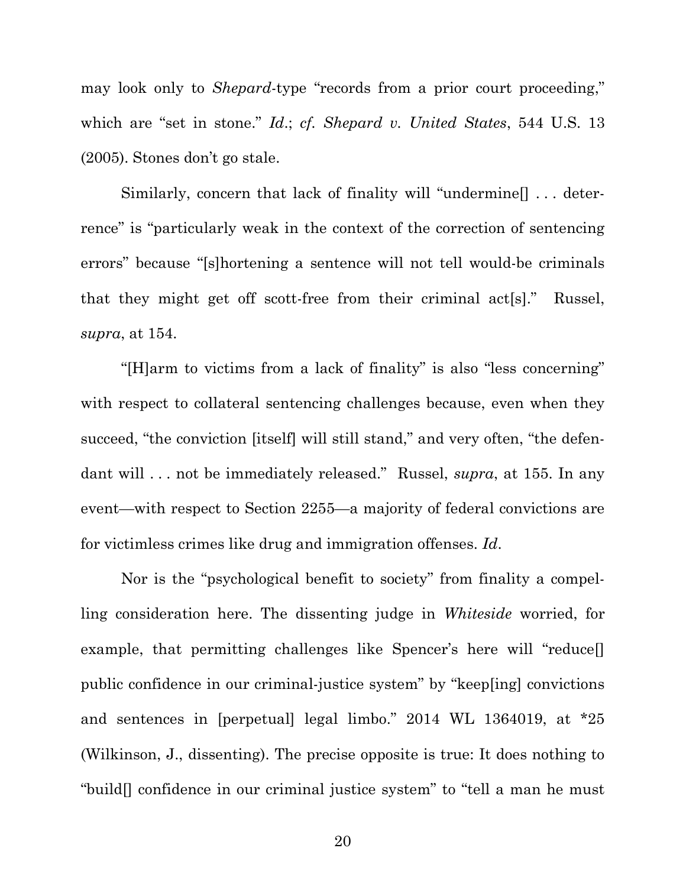may look only to *Shepard*-type "records from a prior court proceeding," which are "set in stone." *Id*.; *cf. Shepard v. United States*, 544 U.S. 13 (2005). Stones don't go stale.

Similarly, concern that lack of finality will "undermine[] . . . deterrence" is "particularly weak in the context of the correction of sentencing errors" because "[s]hortening a sentence will not tell would-be criminals that they might get off scott-free from their criminal act[s]." Russel, *supra*, at 154.

"[H]arm to victims from a lack of finality" is also "less concerning" with respect to collateral sentencing challenges because, even when they succeed, "the conviction [itself] will still stand," and very often, "the defendant will . . . not be immediately released." Russel, *supra*, at 155. In any event—with respect to Section 2255—a majority of federal convictions are for victimless crimes like drug and immigration offenses. *Id*.

Nor is the "psychological benefit to society" from finality a compelling consideration here. The dissenting judge in *Whiteside* worried, for example, that permitting challenges like Spencer's here will "reduce[] public confidence in our criminal-justice system" by "keep[ing] convictions and sentences in [perpetual] legal limbo." 2014 WL 1364019, at \*25 (Wilkinson, J., dissenting). The precise opposite is true: It does nothing to "build[] confidence in our criminal justice system" to "tell a man he must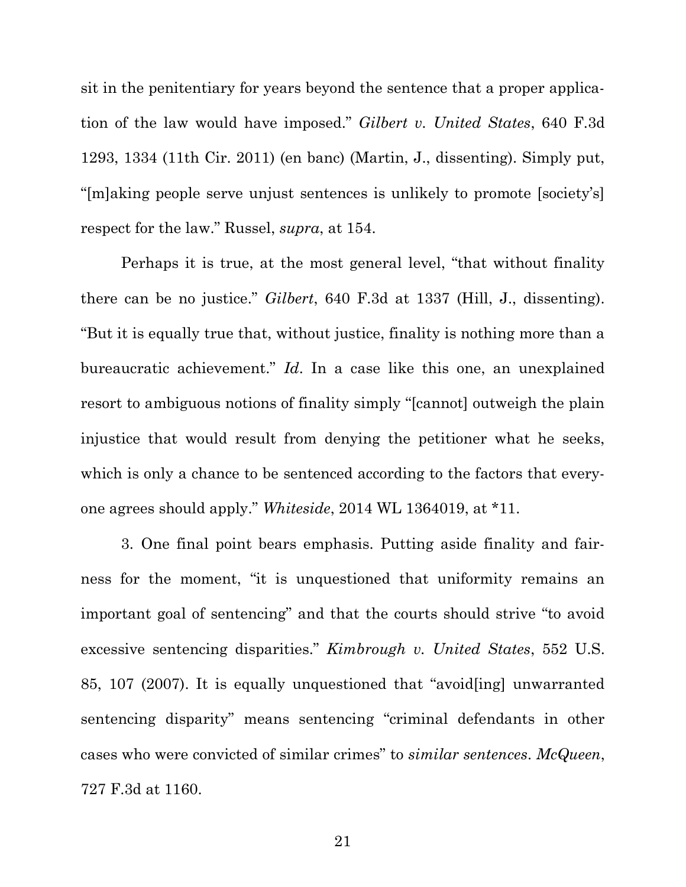sit in the penitentiary for years beyond the sentence that a proper application of the law would have imposed." *Gilbert v. United States*, 640 F.3d 1293, 1334 (11th Cir. 2011) (en banc) (Martin, J., dissenting). Simply put, "[m]aking people serve unjust sentences is unlikely to promote [society's] respect for the law." Russel, *supra*, at 154.

Perhaps it is true, at the most general level, "that without finality there can be no justice." *Gilbert*, 640 F.3d at 1337 (Hill, J., dissenting). "But it is equally true that, without justice, finality is nothing more than a bureaucratic achievement." *Id*. In a case like this one, an unexplained resort to ambiguous notions of finality simply "[cannot] outweigh the plain injustice that would result from denying the petitioner what he seeks, which is only a chance to be sentenced according to the factors that everyone agrees should apply." *Whiteside*, 2014 WL 1364019, at \*11.

3. One final point bears emphasis. Putting aside finality and fairness for the moment, "it is unquestioned that uniformity remains an important goal of sentencing" and that the courts should strive "to avoid excessive sentencing disparities." *Kimbrough v. United States*, 552 U.S. 85, 107 (2007). It is equally unquestioned that "avoid[ing] unwarranted sentencing disparity" means sentencing "criminal defendants in other cases who were convicted of similar crimes" to *similar sentences*. *McQueen*, 727 F.3d at 1160.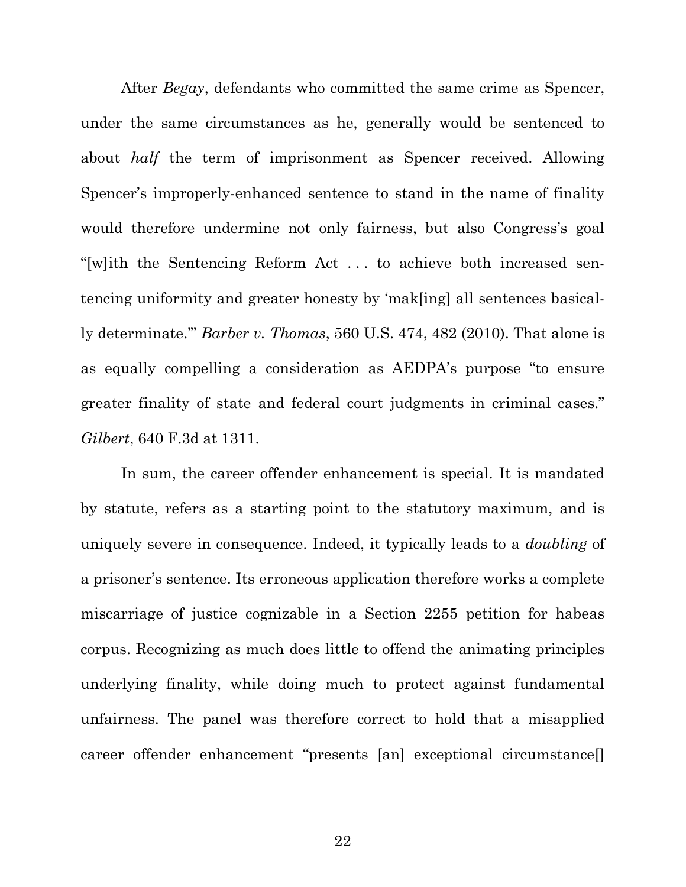After *Begay*, defendants who committed the same crime as Spencer, under the same circumstances as he, generally would be sentenced to about *half* the term of imprisonment as Spencer received. Allowing Spencer's improperly-enhanced sentence to stand in the name of finality would therefore undermine not only fairness, but also Congress's goal "[w]ith the Sentencing Reform Act . . . to achieve both increased sentencing uniformity and greater honesty by 'mak[ing] all sentences basically determinate.'" *Barber v. Thomas*, 560 U.S. 474, 482 (2010). That alone is as equally compelling a consideration as AEDPA's purpose "to ensure greater finality of state and federal court judgments in criminal cases." *Gilbert*, 640 F.3d at 1311.

In sum, the career offender enhancement is special. It is mandated by statute, refers as a starting point to the statutory maximum, and is uniquely severe in consequence. Indeed, it typically leads to a *doubling* of a prisoner's sentence. Its erroneous application therefore works a complete miscarriage of justice cognizable in a Section 2255 petition for habeas corpus. Recognizing as much does little to offend the animating principles underlying finality, while doing much to protect against fundamental unfairness. The panel was therefore correct to hold that a misapplied career offender enhancement "presents [an] exceptional circumstance[]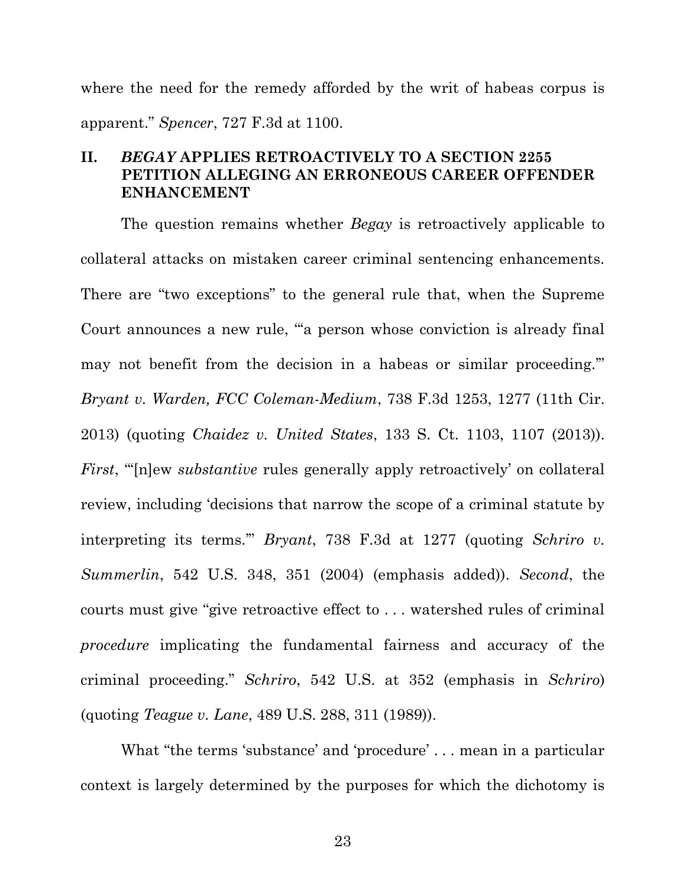where the need for the remedy afforded by the writ of habeas corpus is apparent." *Spencer*, 727 F.3d at 1100.

## **II.** *BEGAY* **APPLIES RETROACTIVELY TO A SECTION 2255 PETITION ALLEGING AN ERRONEOUS CAREER OFFENDER ENHANCEMENT**

The question remains whether *Begay* is retroactively applicable to collateral attacks on mistaken career criminal sentencing enhancements. There are "two exceptions" to the general rule that, when the Supreme Court announces a new rule, "'a person whose conviction is already final may not benefit from the decision in a habeas or similar proceeding.'" *Bryant v. Warden, FCC Coleman-Medium*, 738 F.3d 1253, 1277 (11th Cir. 2013) (quoting *Chaidez v. United States*, 133 S. Ct. 1103, 1107 (2013)). *First*, "In lew *substantive* rules generally apply retroactively' on collateral review, including 'decisions that narrow the scope of a criminal statute by interpreting its terms.'" *Bryant*, 738 F.3d at 1277 (quoting *Schriro v. Summerlin*, 542 U.S. 348, 351 (2004) (emphasis added)). *Second*, the courts must give "give retroactive effect to . . . watershed rules of criminal *procedure* implicating the fundamental fairness and accuracy of the criminal proceeding." *Schriro*, 542 U.S. at 352 (emphasis in *Schriro*) (quoting *Teague v. Lane*, 489 U.S. 288, 311 (1989)).

What "the terms 'substance' and 'procedure' . . . mean in a particular context is largely determined by the purposes for which the dichotomy is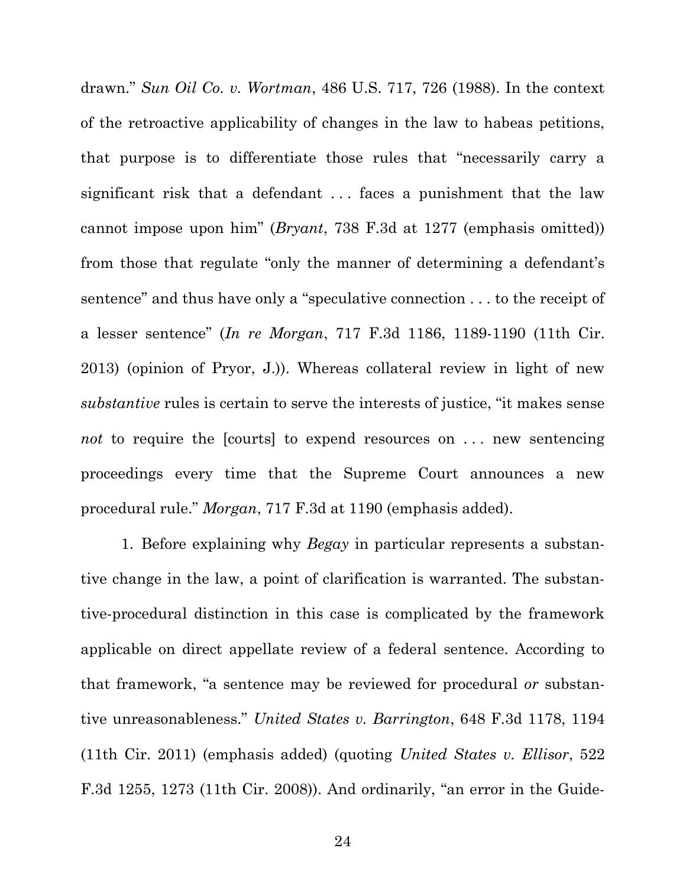drawn." *Sun Oil Co. v. Wortman*, 486 U.S. 717, 726 (1988). In the context of the retroactive applicability of changes in the law to habeas petitions, that purpose is to differentiate those rules that "necessarily carry a significant risk that a defendant ... faces a punishment that the law cannot impose upon him" (*Bryant*, 738 F.3d at 1277 (emphasis omitted)) from those that regulate "only the manner of determining a defendant's sentence" and thus have only a "speculative connection . . . to the receipt of a lesser sentence" (*In re Morgan*, 717 F.3d 1186, 1189-1190 (11th Cir. 2013) (opinion of Pryor, J.)). Whereas collateral review in light of new *substantive* rules is certain to serve the interests of justice, "it makes sense *not* to require the [courts] to expend resources on ... new sentencing proceedings every time that the Supreme Court announces a new procedural rule." *Morgan*, 717 F.3d at 1190 (emphasis added).

1. Before explaining why *Begay* in particular represents a substantive change in the law, a point of clarification is warranted. The substantive-procedural distinction in this case is complicated by the framework applicable on direct appellate review of a federal sentence. According to that framework, "a sentence may be reviewed for procedural *or* substantive unreasonableness." *United States v. Barrington*, 648 F.3d 1178, 1194 (11th Cir. 2011) (emphasis added) (quoting *United States v. Ellisor*, 522 F.3d 1255, 1273 (11th Cir. 2008)). And ordinarily, "an error in the Guide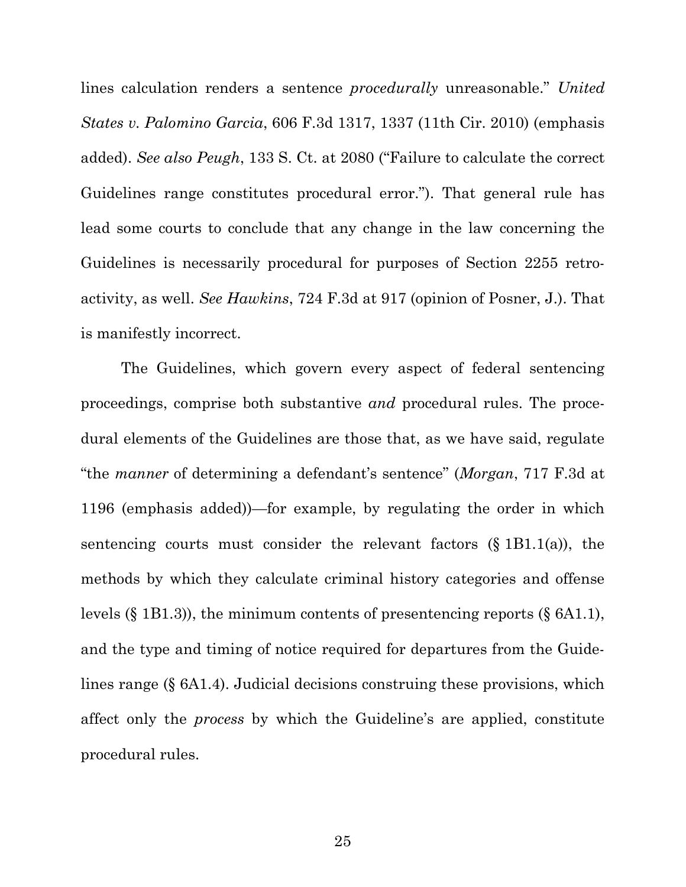lines calculation renders a sentence *procedurally* unreasonable." *United States v. Palomino Garcia*, 606 F.3d 1317, 1337 (11th Cir. 2010) (emphasis added). *See also Peugh*, 133 S. Ct. at 2080 ("Failure to calculate the correct Guidelines range constitutes procedural error."). That general rule has lead some courts to conclude that any change in the law concerning the Guidelines is necessarily procedural for purposes of Section 2255 retroactivity, as well. *See Hawkins*, 724 F.3d at 917 (opinion of Posner, J.). That is manifestly incorrect.

The Guidelines, which govern every aspect of federal sentencing proceedings, comprise both substantive *and* procedural rules. The procedural elements of the Guidelines are those that, as we have said, regulate "the *manner* of determining a defendant's sentence" (*Morgan*, 717 F.3d at 1196 (emphasis added))—for example, by regulating the order in which sentencing courts must consider the relevant factors  $(\S 1B1.1(a))$ , the methods by which they calculate criminal history categories and offense levels (§ 1B1.3)), the minimum contents of presentencing reports (§ 6A1.1), and the type and timing of notice required for departures from the Guidelines range (§ 6A1.4). Judicial decisions construing these provisions, which affect only the *process* by which the Guideline's are applied, constitute procedural rules.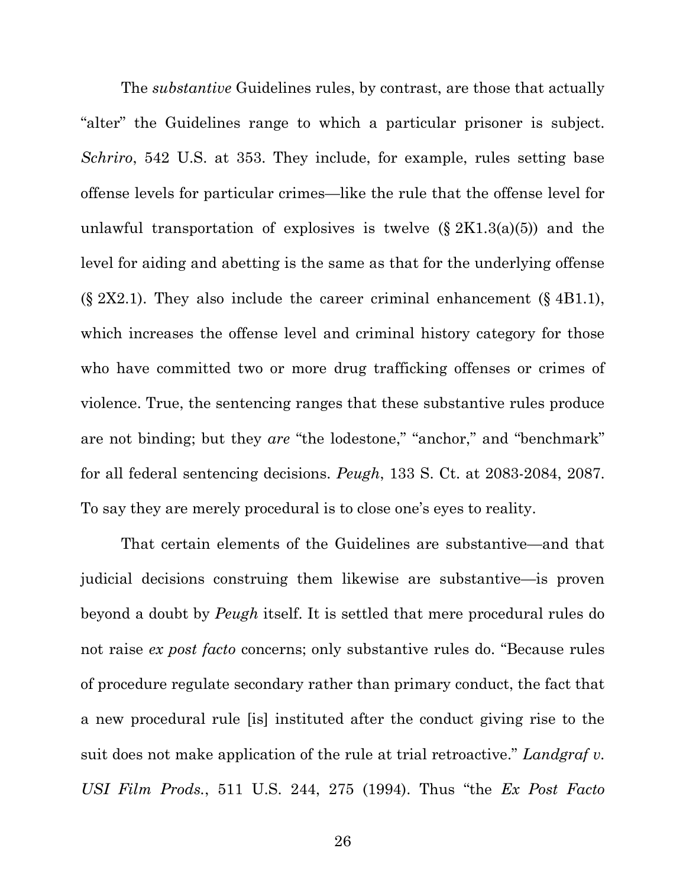The *substantive* Guidelines rules, by contrast, are those that actually "alter" the Guidelines range to which a particular prisoner is subject. *Schriro*, 542 U.S. at 353. They include, for example, rules setting base offense levels for particular crimes—like the rule that the offense level for unlawful transportation of explosives is twelve  $(\S 2K1.3(a)(5))$  and the level for aiding and abetting is the same as that for the underlying offense  $(\S$  2X2.1). They also include the career criminal enhancement  $(\S$  4B1.1), which increases the offense level and criminal history category for those who have committed two or more drug trafficking offenses or crimes of violence. True, the sentencing ranges that these substantive rules produce are not binding; but they *are* "the lodestone," "anchor," and "benchmark" for all federal sentencing decisions. *Peugh*, 133 S. Ct. at 2083-2084, 2087. To say they are merely procedural is to close one's eyes to reality.

That certain elements of the Guidelines are substantive—and that judicial decisions construing them likewise are substantive—is proven beyond a doubt by *Peugh* itself. It is settled that mere procedural rules do not raise *ex post facto* concerns; only substantive rules do. "Because rules of procedure regulate secondary rather than primary conduct, the fact that a new procedural rule [is] instituted after the conduct giving rise to the suit does not make application of the rule at trial retroactive." *Landgraf v. USI Film Prods.*, 511 U.S. 244, 275 (1994). Thus "the *Ex Post Facto*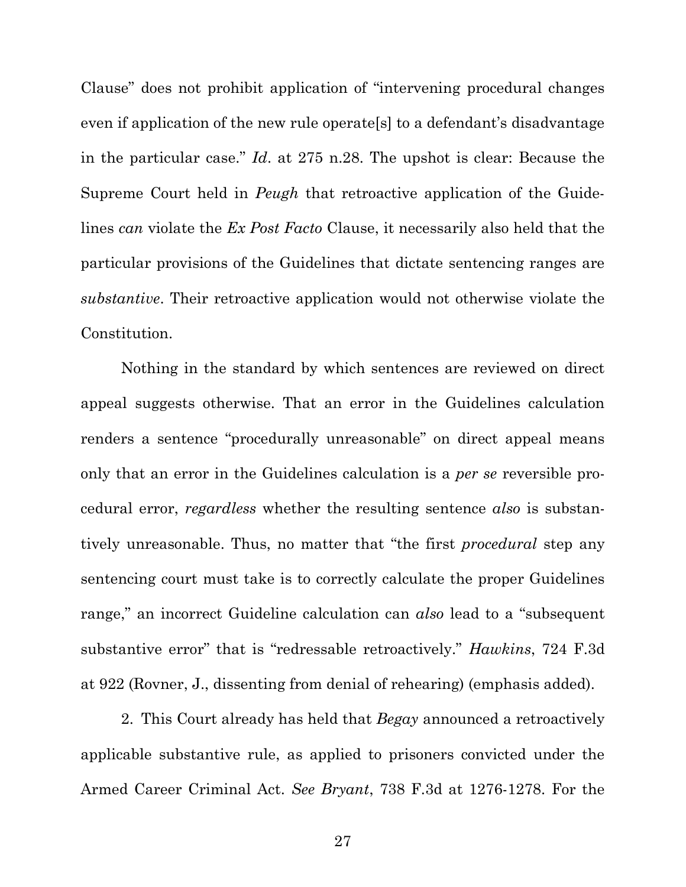Clause" does not prohibit application of "intervening procedural changes even if application of the new rule operate[s] to a defendant's disadvantage in the particular case." *Id*. at 275 n.28. The upshot is clear: Because the Supreme Court held in *Peugh* that retroactive application of the Guidelines *can* violate the *Ex Post Facto* Clause, it necessarily also held that the particular provisions of the Guidelines that dictate sentencing ranges are *substantive*. Their retroactive application would not otherwise violate the Constitution.

Nothing in the standard by which sentences are reviewed on direct appeal suggests otherwise. That an error in the Guidelines calculation renders a sentence "procedurally unreasonable" on direct appeal means only that an error in the Guidelines calculation is a *per se* reversible procedural error, *regardless* whether the resulting sentence *also* is substantively unreasonable. Thus, no matter that "the first *procedural* step any sentencing court must take is to correctly calculate the proper Guidelines range," an incorrect Guideline calculation can *also* lead to a "subsequent substantive error" that is "redressable retroactively." *Hawkins*, 724 F.3d at 922 (Rovner, J., dissenting from denial of rehearing) (emphasis added).

2. This Court already has held that *Begay* announced a retroactively applicable substantive rule, as applied to prisoners convicted under the Armed Career Criminal Act. *See Bryant*, 738 F.3d at 1276-1278. For the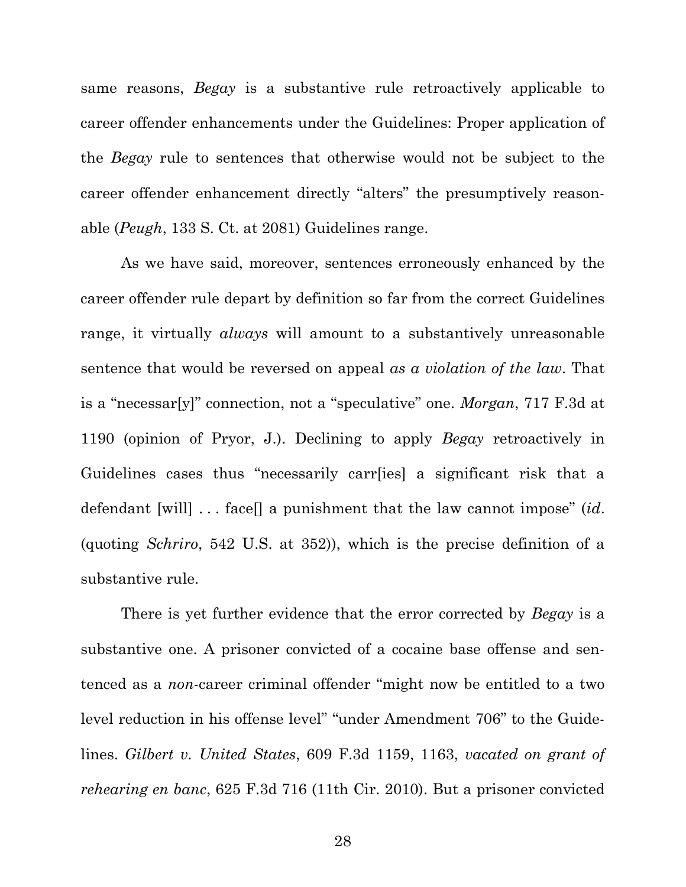same reasons, *Begay* is a substantive rule retroactively applicable to career offender enhancements under the Guidelines: Proper application of the *Begay* rule to sentences that otherwise would not be subject to the career offender enhancement directly "alters" the presumptively reasonable (*Peugh*, 133 S. Ct. at 2081) Guidelines range.

As we have said, moreover, sentences erroneously enhanced by the career offender rule depart by definition so far from the correct Guidelines range, it virtually *always* will amount to a substantively unreasonable sentence that would be reversed on appeal *as a violation of the law*. That is a "necessar[y]" connection, not a "speculative" one. *Morgan*, 717 F.3d at 1190 (opinion of Pryor, J.). Declining to apply *Begay* retroactively in Guidelines cases thus "necessarily carr[ies] a significant risk that a defendant [will] . . . face[] a punishment that the law cannot impose" (*id*. (quoting *Schriro*, 542 U.S. at 352)), which is the precise definition of a substantive rule.

There is yet further evidence that the error corrected by *Begay* is a substantive one. A prisoner convicted of a cocaine base offense and sentenced as a *non*-career criminal offender "might now be entitled to a two level reduction in his offense level" "under Amendment 706" to the Guidelines. *Gilbert v. United States*, 609 F.3d 1159, 1163, *vacated on grant of rehearing en banc*, 625 F.3d 716 (11th Cir. 2010). But a prisoner convicted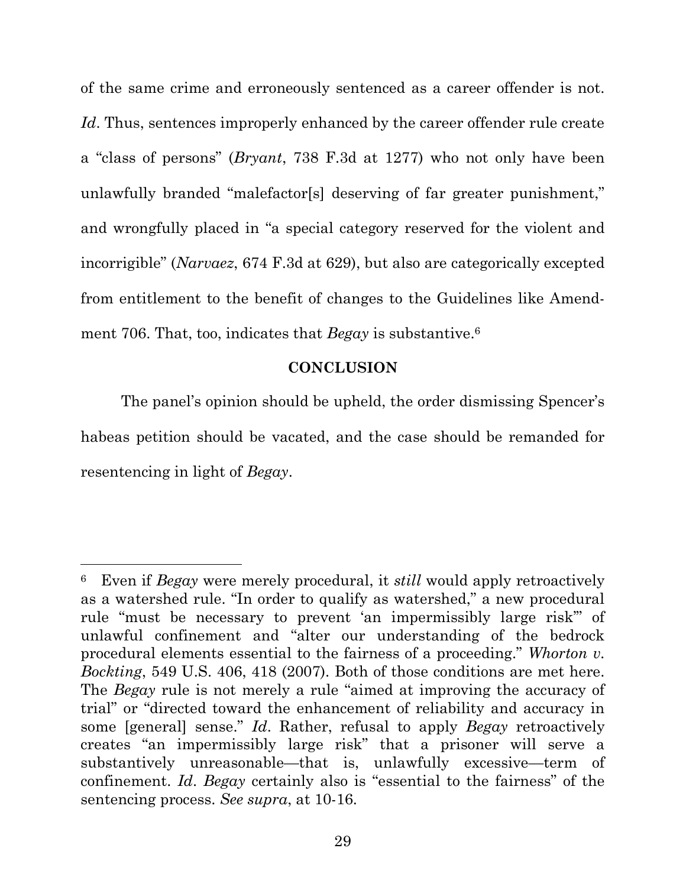of the same crime and erroneously sentenced as a career offender is not. *Id*. Thus, sentences improperly enhanced by the career offender rule create a "class of persons" (*Bryant*, 738 F.3d at 1277) who not only have been unlawfully branded "malefactor[s] deserving of far greater punishment," and wrongfully placed in "a special category reserved for the violent and incorrigible" (*Narvaez*, 674 F.3d at 629), but also are categorically excepted from entitlement to the benefit of changes to the Guidelines like Amendment 706. That, too, indicates that *Begay* is substantive.<sup>6</sup>

### **CONCLUSION**

The panel's opinion should be upheld, the order dismissing Spencer's habeas petition should be vacated, and the case should be remanded for resentencing in light of *Begay*.

<sup>6</sup> Even if *Begay* were merely procedural, it *still* would apply retroactively as a watershed rule. "In order to qualify as watershed," a new procedural rule "must be necessary to prevent 'an impermissibly large risk'" of unlawful confinement and "alter our understanding of the bedrock procedural elements essential to the fairness of a proceeding." *Whorton v. Bockting*, 549 U.S. 406, 418 (2007). Both of those conditions are met here. The *Begay* rule is not merely a rule "aimed at improving the accuracy of trial" or "directed toward the enhancement of reliability and accuracy in some [general] sense." *Id*. Rather, refusal to apply *Begay* retroactively creates "an impermissibly large risk" that a prisoner will serve a substantively unreasonable—that is, unlawfully excessive—term of confinement. *Id*. *Begay* certainly also is "essential to the fairness" of the sentencing process. *See supra*, at 10-16.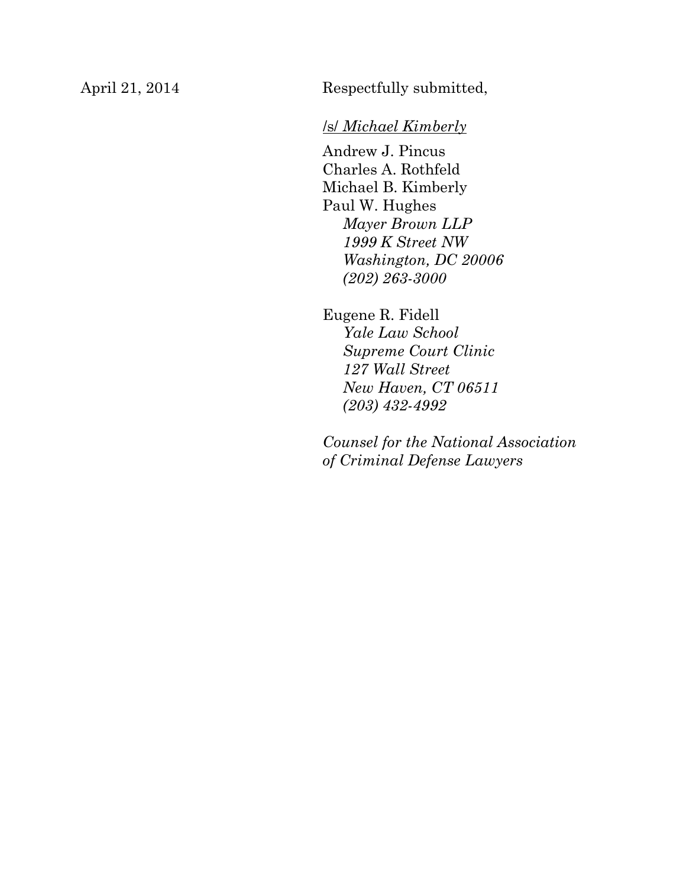April 21, 2014 Respectfully submitted,

## /s/ *Michael Kimberly*

Andrew J. Pincus Charles A. Rothfeld Michael B. Kimberly Paul W. Hughes *Mayer Brown LLP 1999 K Street NW Washington, DC 20006 (202) 263-3000*

Eugene R. Fidell *Yale Law School Supreme Court Clinic 127 Wall Street New Haven, CT 06511 (203) 432-4992*

*Counsel for the National Association of Criminal Defense Lawyers*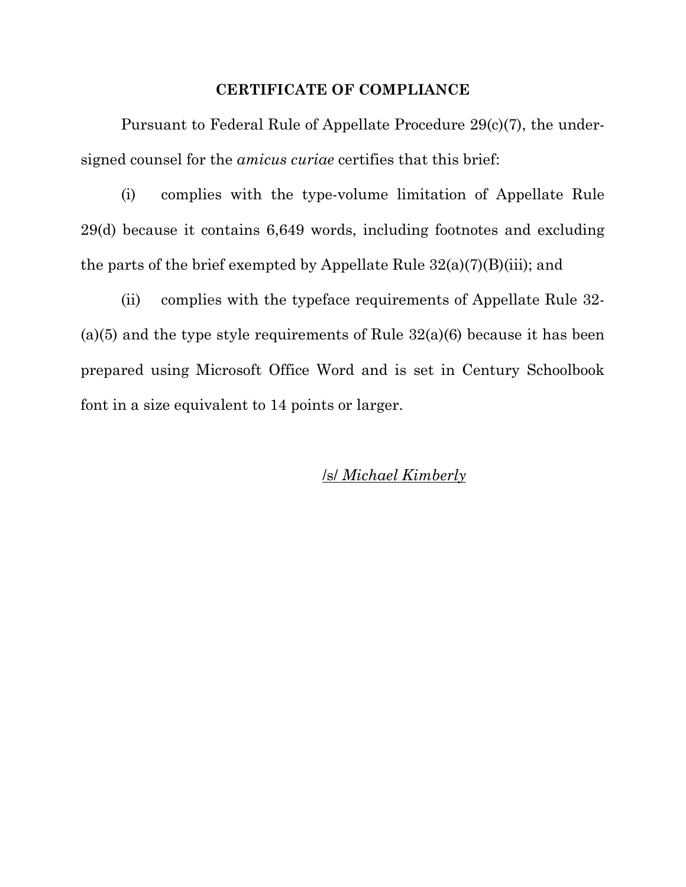#### **CERTIFICATE OF COMPLIANCE**

Pursuant to Federal Rule of Appellate Procedure 29(c)(7), the undersigned counsel for the *amicus curiae* certifies that this brief:

(i) complies with the type-volume limitation of Appellate Rule 29(d) because it contains 6,649 words, including footnotes and excluding the parts of the brief exempted by Appellate Rule  $32(a)(7)(B)(iii)$ ; and

(ii) complies with the typeface requirements of Appellate Rule 32- (a)(5) and the type style requirements of Rule  $32(a)(6)$  because it has been prepared using Microsoft Office Word and is set in Century Schoolbook font in a size equivalent to 14 points or larger.

## /s/ *Michael Kimberly*